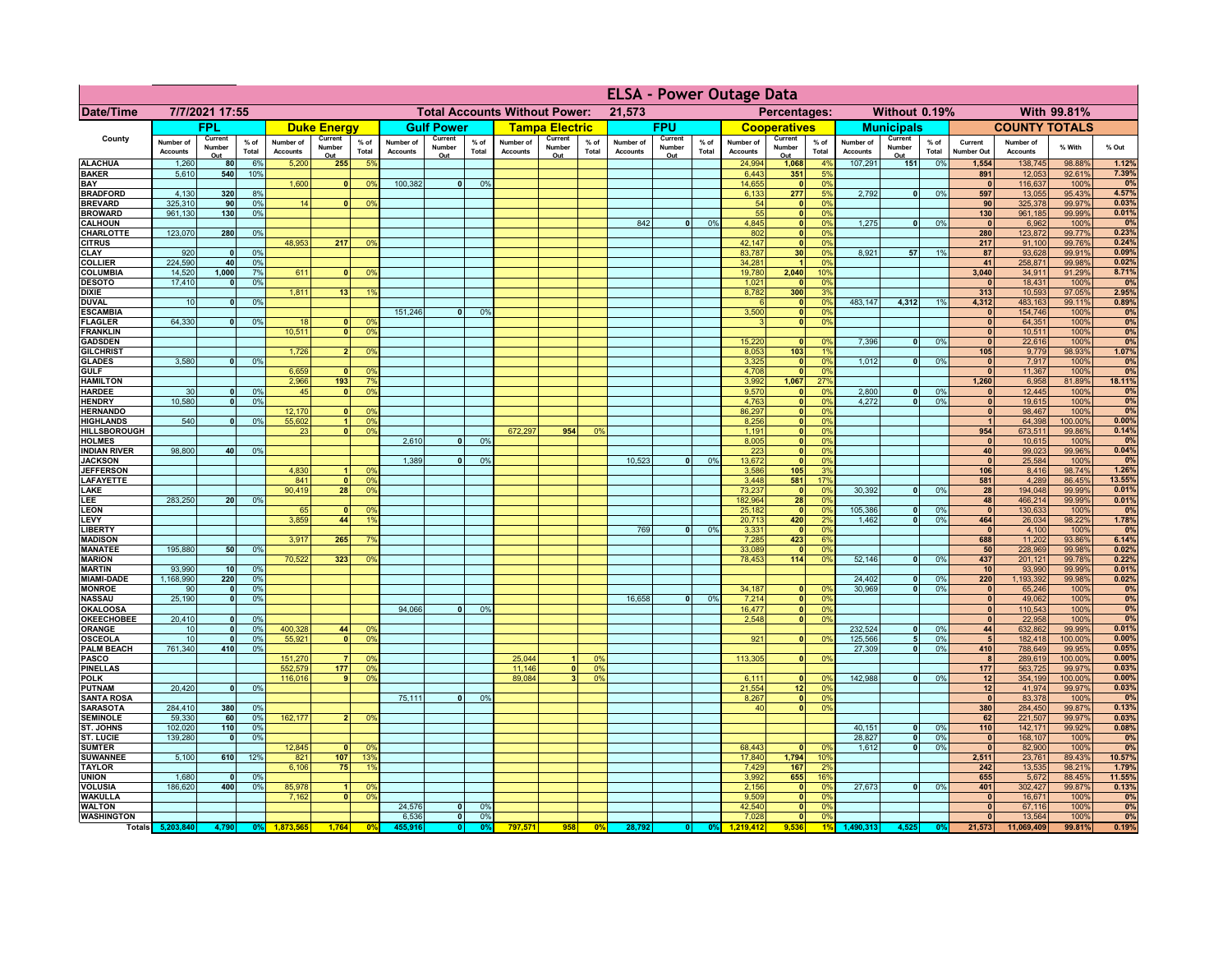|                                      |                              |                          |                 |                              |                                                |                                  |                              | <b>ELSA - Power Outage Data</b> |                |                                              |                          |                |                              |                          |               |                              |                                  |                 |                              |                              |                 |                              |                              |                   |                 |
|--------------------------------------|------------------------------|--------------------------|-----------------|------------------------------|------------------------------------------------|----------------------------------|------------------------------|---------------------------------|----------------|----------------------------------------------|--------------------------|----------------|------------------------------|--------------------------|---------------|------------------------------|----------------------------------|-----------------|------------------------------|------------------------------|-----------------|------------------------------|------------------------------|-------------------|-----------------|
| <b>Date/Time</b>                     | 7/7/2021 17:55               |                          |                 |                              | <b>Total Accounts Without Power:</b><br>21,573 |                                  |                              |                                 |                | Percentages:<br>Without 0.19%<br>With 99.81% |                          |                |                              |                          |               |                              |                                  |                 |                              |                              |                 |                              |                              |                   |                 |
|                                      |                              | <b>FPL</b>               |                 |                              | <b>Duke Energy</b>                             |                                  |                              | <b>Gulf Power</b>               |                |                                              | <b>Tampa Electric</b>    |                |                              | <b>FPU</b>               |               |                              | <b>Cooperatives</b>              |                 |                              | <b>Municipals</b>            |                 |                              | <b>COUNTY TOTALS</b>         |                   |                 |
| County                               | Number of<br><b>Accounts</b> | Current<br>Number<br>Out | $%$ of<br>Total | Number of<br><b>Accounts</b> | Current<br>Number<br>Out                       | $%$ of<br>Total                  | Number of<br><b>Accounts</b> | Current<br>Number<br>Out        | % of<br>Total  | Number of<br><b>Accounts</b>                 | Current<br>Number<br>Out | % of<br>Total  | Number of<br><b>Accounts</b> | Current<br>Number<br>Out | % of<br>Total | Number of<br><b>Accounts</b> | Current<br>Number<br>Out         | $%$ of<br>Total | Number of<br><b>Accounts</b> | Current<br>Number<br>Out     | $%$ of<br>Total | Current<br><b>Number Out</b> | Number of<br><b>Accounts</b> | % With            | % Out           |
| <b>ALACHUA</b>                       | 1,260                        | 80                       | 6%              | 5,200                        | 255                                            | 5 <sup>9</sup>                   |                              |                                 |                |                                              |                          |                |                              |                          |               | 24,994                       | 1,068                            | 4%              | 107,291                      | 151                          | 0%              | 1,554                        | 138,745                      | 98.88%            | 1.12%           |
| <b>BAKER</b><br>BAY                  | 5,610                        | 540                      | 10%             | 1,600                        | $\mathbf{0}$                                   | 0 <sup>9</sup>                   | 100,382                      | $\overline{0}$                  | 0%             |                                              |                          |                |                              |                          |               | 6,443<br>14,655              | 351<br> 0                        | 5%<br>0%        |                              |                              |                 | 891<br>$\Omega$              | 12,053<br>116,637            | 92.61%<br>100%    | 7.39%<br>0%     |
| <b>BRADFORD</b>                      | 4,130                        | 320                      | 8%              |                              |                                                |                                  |                              |                                 |                |                                              |                          |                |                              |                          |               | 6,133                        | 277                              | 5%              | 2,792                        | $\mathbf{0}$                 | 0%              | 597                          | 13,055                       | 95.43%            | 4.57%           |
| <b>BREVARD</b><br><b>BROWARD</b>     | 325,310<br>961,130           | 90 <sub>1</sub><br>130   | 0%<br>0%        | 14                           | $\Omega$                                       | 0%                               |                              |                                 |                |                                              |                          |                |                              |                          |               | 54<br>55                     | 0 <br> 0                         | 0%<br>0%        |                              |                              |                 | 90<br>130                    | 325,378<br>961,185           | 99.97%<br>99.99%  | 0.03%<br>0.01%  |
| <b>CALHOUN</b>                       |                              |                          |                 |                              |                                                |                                  |                              |                                 |                |                                              |                          |                | 842                          | $\mathbf{0}$             | 0%            | 4,845                        | 0                                | 0%              | 1,275                        | $\mathbf{0}$                 | 0%              | $\mathbf{0}$                 | 6,962                        | 100%              | 0%              |
| CHARLOTTE                            | 123,070                      | 280                      | 0%              |                              |                                                |                                  |                              |                                 |                |                                              |                          |                |                              |                          |               | 802                          | 0                                | 0%<br>0%        |                              |                              |                 | 280                          | 123,872                      | 99.77%            | 0.23%           |
| <b>CITRUS</b><br><b>CLAY</b>         | 920                          | $\mathbf{0}$             | 0%              | 48,953                       | 217                                            | 0 <sup>9</sup>                   |                              |                                 |                |                                              |                          |                |                              |                          |               | 42,147<br>83,787             | 0 <br>30 <sup>1</sup>            | 0%              | 8,921                        | 57                           | 19              | 217<br>87                    | 91,100<br>93,628             | 99.76%<br>99.91%  | 0.24%<br>0.09%  |
| <b>COLLIER</b>                       | 224,590                      | 40                       | 0%              |                              |                                                |                                  |                              |                                 |                |                                              |                          |                |                              |                          |               | 34,281                       |                                  | 0%              |                              |                              |                 | 41                           | 258,871                      | 99.98%            | 0.02%           |
| <b>COLUMBIA</b><br><b>DESOTO</b>     | 14,520<br>17,410             | 1,000<br>$\mathbf{0}$    | 7%<br>0%        | 611                          |                                                | 0 <sup>9</sup>                   |                              |                                 |                |                                              |                          |                |                              |                          |               | 19,780                       | 2,040<br>$\mathbf 0$             | 10%<br>0%       |                              |                              |                 | 3,040<br>$\Omega$            | 34,911<br>18,431             | 91.29%<br>100%    | 8.71%<br>0%     |
| <b>DIXIE</b>                         |                              |                          |                 | 1,811                        | 13                                             | 1 <sup>9</sup>                   |                              |                                 |                |                                              |                          |                |                              |                          |               | $\frac{1,021}{8,782}$        | 300                              | 3%              |                              |                              |                 | 313                          | 10,593                       | 97.05%            | 2.95%           |
| <b>DUVAL</b><br><b>ESCAMBIA</b>      | 10                           | $\mathbf{0}$             | 0%              |                              |                                                |                                  | 151,246                      | 0                               | 0 <sup>9</sup> |                                              |                          |                |                              |                          |               | 3,500                        | 0 <br> 0                         | 0%<br>0%        | 483,147                      | 4,312                        | 1%              | 4,312<br>$\mathbf{0}$        | 483,163<br>154,746           | 99.11%<br>100%    | 0.89%<br>0%     |
| <b>FLAGLER</b>                       | 64,330                       | $\mathbf{0}$             | 0%              | 18                           |                                                | 0 <sup>9</sup>                   |                              |                                 |                |                                              |                          |                |                              |                          |               | 3                            | $\overline{\mathbf{0}}$          | 0%              |                              |                              |                 | $\mathbf{0}$                 | 64,351                       | 100%              | 0%              |
| <b>FRANKLIN</b>                      |                              |                          |                 | 10,511                       | $\Omega$                                       | 0 <sup>9</sup>                   |                              |                                 |                |                                              |                          |                |                              |                          |               |                              |                                  |                 |                              |                              |                 | $\mathbf{0}$                 | 10,511                       | 100%              | 0%              |
| <b>GADSDEN</b><br><b>GILCHRIST</b>   |                              |                          |                 | 1.726                        | $\mathcal{P}$                                  | 0%                               |                              |                                 |                |                                              |                          |                |                              |                          |               | 15,220<br>8,053              | 0 <br>103                        | 0%<br>1%        | 7.396                        | 0                            | 0%              | $\mathbf{0}$<br>105          | 22,616<br>9,779              | 100%<br>98.93%    | 0%<br>1.07%     |
| <b>GLADES</b>                        | 3,580                        | $\Omega$                 | 0%              |                              |                                                |                                  |                              |                                 |                |                                              |                          |                |                              |                          |               | 3,325                        | 0                                | 0%              | 1,012                        | $\bullet$                    | 0%              | $\mathbf{0}$                 | 7,917                        | 100%              | 0%              |
| <b>GULF</b><br><b>HAMILTON</b>       |                              |                          |                 | 6,659<br>2,966               | $\Omega$<br>193                                | 0%<br>7 <sup>9</sup>             |                              |                                 |                |                                              |                          |                |                              |                          |               | 4,708<br>3,992               | 0 <br>1,067                      | 0%<br>27%       |                              |                              |                 | $\mathbf{r}$<br>1,260        | 11,367<br>6,958              | 100%<br>81.89%    | 0%<br>18.11%    |
| <b>HARDEE</b>                        | 30                           | $\Omega$                 | 0%              | 45                           | $\Omega$                                       | 0%                               |                              |                                 |                |                                              |                          |                |                              |                          |               | 9,570                        | 0                                | 0%              | 2,800                        | $\mathbf{0}$                 | 0%              | $\mathbf{0}$                 | 12,445                       | 100%              | 0%              |
| <b>HENDRY</b>                        | 10.580                       | $\overline{0}$           | 0 <sup>9</sup>  |                              |                                                |                                  |                              |                                 |                |                                              |                          |                |                              |                          |               | 4,763                        | $\overline{\bullet}$             | 0%              | 4.272                        | $\bullet$                    | 0%              | $\bullet$                    | 19,615                       | 100%              | 0%              |
| <b>HERNANDO</b><br><b>HIGHLANDS</b>  | 540                          | $\Omega$                 | 0 <sup>9</sup>  | 12,170<br>55,602             | $\blacktriangleleft$                           | 0 <sup>9</sup><br>0 <sup>9</sup> |                              |                                 |                |                                              |                          |                |                              |                          |               | 86,297<br>8,256              | $\overline{0}$<br>$\overline{0}$ | 0%<br>0%        |                              |                              |                 | $\bullet$<br>$\overline{1}$  | 98,467<br>64,398             | 100%<br>100.00%   | 0%<br>0.00%     |
| <b>HILLSBOROUGH</b>                  |                              |                          |                 | 23                           | $\mathbf{0}$                                   | 0 <sup>9</sup>                   |                              |                                 |                | 672,297                                      | 954                      | 0 <sup>9</sup> |                              |                          |               | 1,191                        | 0                                | 0%              |                              |                              |                 | 954                          | 673,511                      | 99.86%            | 0.14%           |
| <b>HOLMES</b><br><b>INDIAN RIVER</b> | 98,800                       | 40                       | 0%              |                              |                                                |                                  | 2,610                        | n l                             | 0%             |                                              |                          |                |                              |                          |               | 8,005<br>223                 | 0 <br> 0                         | 0%<br>0%        |                              |                              |                 | $\mathbf{0}$<br>40           | 10,615<br>99,023             | 100%<br>99.96%    | 0%<br>0.04%     |
| <b>JACKSON</b>                       |                              |                          |                 |                              |                                                |                                  | 1,389                        | <sub>0</sub>                    | 0 <sup>9</sup> |                                              |                          |                | 10.523                       |                          | 0%            | 13,672                       | 0                                | 0%              |                              |                              |                 | 0                            | 25,584                       | 100%              | 0%              |
| <b>JEFFERSON</b>                     |                              |                          |                 | 4,830                        |                                                | 0 <sup>9</sup>                   |                              |                                 |                |                                              |                          |                |                              |                          |               | 3,586                        | 105                              | 3%              |                              |                              |                 | 106                          | 8,416                        | 98.74%            | 1.26%           |
| <b>LAFAYETTE</b><br>LAKE             |                              |                          |                 | 841<br>90,419                | 28                                             | 0 <sup>9</sup><br>0 <sup>9</sup> |                              |                                 |                |                                              |                          |                |                              |                          |               | 3,448<br>73,237              | 581<br> 0                        | 17%<br>0%       | 30,392                       | $\mathbf{0}$                 | 0%              | 581<br>28                    | 4,289<br>194,048             | 86.45%<br>99.99%  | 13.55%<br>0.01% |
| LEE                                  | 283,250                      | 20 <sup>1</sup>          | 0%              |                              |                                                |                                  |                              |                                 |                |                                              |                          |                |                              |                          |               | 182,964                      | 28                               | 0%              |                              |                              |                 | 48                           | 466,214                      | 99.99%            | 0.01%           |
| <b>LEON</b><br>LEVY                  |                              |                          |                 | 65<br>3,859                  | 44                                             | 0 <sup>9</sup><br>-19            |                              |                                 |                |                                              |                          |                |                              |                          |               | 25,182<br>20,713             | 0 <br>420                        | 0%<br>2%        | 105,386<br>1,462             | $\mathbf{0}$<br>$\mathbf{0}$ | 0%<br>0%        | 0 <br>464                    | 130,633<br>26,034            | 100%<br>98.22%    | 0%<br>1.78%     |
| <b>LIBERTY</b>                       |                              |                          |                 |                              |                                                |                                  |                              |                                 |                |                                              |                          |                | 769                          | $\mathbf{0}$             | 0%            | 3,331                        | $\mathbf{0}$                     | 0%              |                              |                              |                 | $\mathbf{0}$                 | 4,100                        | 100%              | 0%              |
| <b>MADISON</b>                       |                              |                          |                 | 3,917                        | 265                                            | 7 <sup>9</sup>                   |                              |                                 |                |                                              |                          |                |                              |                          |               | 7,285                        | 423                              | 6%              |                              |                              |                 | 688                          | 11,202                       | 93.86%            | 6.14%           |
| <b>MANATEE</b><br><b>MARION</b>      | 195,880                      | 50                       | 0%              | 70,522                       | 323                                            | 0%                               |                              |                                 |                |                                              |                          |                |                              |                          |               | 33,089<br>78,453             | 0 <br>$114$                      | 0%<br>0%        | 52,146                       | 0                            | 0%              | 50<br>437                    | 228,969<br>201,121           | 99.98%<br>99.78%  | 0.02%<br>0.22%  |
| <b>MARTIN</b>                        | 93,990                       | 10                       | 0%              |                              |                                                |                                  |                              |                                 |                |                                              |                          |                |                              |                          |               |                              |                                  |                 |                              |                              |                 | 10                           | 93,990                       | 99.99%            | 0.01%           |
| <b>MIAMI-DADE</b><br><b>MONROE</b>   | 1,168,990<br>90              | 220<br> 0                | 0%<br>0%        |                              |                                                |                                  |                              |                                 |                |                                              |                          |                |                              |                          |               | 34,187                       | 0                                | $\Omega$ %      | 24,402<br>30,969             | $\bullet$<br>$\mathbf{0}$    | 0%<br>0%        | 220<br> 0                    | 1,193,392<br>65,246          | 99.98%<br>100%    | 0.02%<br>0%     |
| <b>NASSAU</b>                        | 25,190                       | 0                        | 0%              |                              |                                                |                                  |                              |                                 |                |                                              |                          |                | 16,658                       | $\Omega$                 | 0%            | 7,214                        | 0                                | 0%              |                              |                              |                 | 0                            | 49,062                       | 100%              | 0%              |
| <b>OKALOOSA</b>                      |                              |                          |                 |                              |                                                |                                  | 94,066                       | 0                               | 0%             |                                              |                          |                |                              |                          |               | 16,477                       | 0                                | 0%              |                              |                              |                 | 0                            | 110,543                      | 100%              | 0%              |
| <b>OKEECHOBEE</b><br><b>ORANGE</b>   | 20,410<br>10                 | 0 <br> 0                 | 0%<br>0%        | 400,328                      | 44                                             | 0 <sup>9</sup>                   |                              |                                 |                |                                              |                          |                |                              |                          |               | 2,548                        | 0                                | 0%              | 232,524                      | $\mathbf{0}$                 | 0%              | 0 <br>44                     | 22,958<br>632,862            | 100%<br>99.99%    | 0%<br>0.01%     |
| <b>OSCEOLA</b>                       | 10                           | 0                        | 0%              | 55,921                       | $\mathbf{0}$                                   | 0 <sup>9</sup>                   |                              |                                 |                |                                              |                          |                |                              |                          |               | 921                          | 0                                | 0%              | 125,566                      | $5\phantom{.0}$              | 0%              | $5\phantom{.0}$              | 182,418                      | 100.00%           | 0.00%           |
| <b>PALM BEACH</b><br><b>PASCO</b>    | 761,340                      | 410                      | 0%              | 151,270                      |                                                | 0 <sup>9</sup>                   |                              |                                 |                | 25,044                                       |                          | 0 <sup>9</sup> |                              |                          |               | 113,305                      | 0                                | 0%              | 27,309                       | 0                            | 0%              | 410<br>8                     | 788,649<br>289,619           | 99.95%<br>100.00% | 0.05%<br>0.00%  |
| <b>PINELLAS</b>                      |                              |                          |                 | 552,579                      | 177                                            | 0 <sup>9</sup>                   |                              |                                 |                | 11,146                                       | $\Omega$                 | 0 <sup>9</sup> |                              |                          |               |                              |                                  |                 |                              |                              |                 | 177                          | 563,725                      | 99.97%            | 0.03%           |
| <b>POLK</b>                          |                              |                          |                 | 116,016                      |                                                | 0%                               |                              |                                 |                | 89,084                                       | $\mathbf{a}$             | 0 <sup>9</sup> |                              |                          |               | 6,111                        | 0                                | 0%              | 142.988                      | $\mathbf{0}$                 | 0%              | 12                           | 354,199                      | 100.00%           | 0.00%           |
| <b>PUTNAM</b><br><b>SANTA ROSA</b>   | 20,420                       | 0                        | 0%              |                              |                                                |                                  | 75,111                       | $\mathbf{0}$                    | 0%             |                                              |                          |                |                              |                          |               | 21,554<br>8,267              | 12<br> 0                         | 0%<br>0%        |                              |                              |                 | 12<br>$\mathbf{0}$           | 41,974<br>83,378             | 99.97%<br>100%    | 0.03%<br>0%     |
| <b>SARASOTA</b>                      | 284,410                      | 380                      | 0%              |                              |                                                |                                  |                              |                                 |                |                                              |                          |                |                              |                          |               | 40                           | 0                                | 0%              |                              |                              |                 | 380                          | 284,450                      | 99.87%            | 0.13%           |
| <b>SEMINOLE</b><br>ST. JOHNS         | 59,330<br>102,020            | 60 <sup>1</sup><br>110   | 0%<br>0%        | 162,177                      |                                                | 0 <sup>9</sup>                   |                              |                                 |                |                                              |                          |                |                              |                          |               |                              |                                  |                 | 40,151                       | $\bullet$                    | 0%              | 62<br>110                    | 221,507<br>142,171           | 99.97%<br>99.92%  | 0.03%<br>0.08%  |
| <b>ST. LUCIE</b>                     | 139,280                      | $\mathbf{0}$             | 0%              |                              |                                                |                                  |                              |                                 |                |                                              |                          |                |                              |                          |               |                              |                                  |                 | 28,827                       | $\bullet$                    | 0%              | $\mathbf{0}$                 | 168,107                      | 100%              | 0%              |
| <b>SUMTER</b>                        | 5,100                        | 610                      | 12%             | 12,845                       |                                                | 0 <sup>6</sup>                   |                              |                                 |                |                                              |                          |                |                              |                          |               | 68,443<br>17,840             | $\mathbf{0}$                     | 0%              | 1,612                        | $\bullet$                    | 0%              | $\mathbf{0}$<br>2,511        | 82,900<br>23,761             | 100%              | 0%              |
| <b>SUWANNEE</b><br><b>TAYLOR</b>     |                              |                          |                 | 821<br>6,106                 | 107<br>75                                      | 139<br>19                        |                              |                                 |                |                                              |                          |                |                              |                          |               | 7,429                        | 1,794<br>167                     | 10%<br>2%       |                              |                              |                 | 242                          | 13,535                       | 89.43%<br>98.21%  | 10.57%<br>1.79% |
| <b>UNION</b>                         | 1,680                        | 0                        | 0%              |                              |                                                |                                  |                              |                                 |                |                                              |                          |                |                              |                          |               | 3,992                        | 655                              | 16%             |                              |                              |                 | 655                          | 5,672                        | 88.45%            | 11.55%          |
| <b>VOLUSIA</b><br><b>WAKULLA</b>     | 186,620                      | 400                      | 0%              | 85,978<br>7,162              | $\Omega$                                       | 0%<br>0 <sup>9</sup>             |                              |                                 |                |                                              |                          |                |                              |                          |               | 2,156<br>9,509               | 0 <br>$\overline{\bullet}$       | 0%<br>0%        | 27,673                       | $\overline{0}$               | 0%              | 401<br>$\mathbf{0}$          | 302,427<br>16,671            | 99.87%<br>100%    | 0.13%<br>0%     |
| <b>WALTON</b>                        |                              |                          |                 |                              |                                                |                                  | 24,576                       | 0                               | 0 <sup>9</sup> |                                              |                          |                |                              |                          |               | 42,540                       | $\overline{\bullet}$             | 0%              |                              |                              |                 | $\mathbf{0}$                 | 67,116                       | 100%              | 0%              |
| <b>WASHINGTON</b>                    |                              |                          |                 |                              |                                                | $\mathbf{0}$                     | 6,536                        | 0                               | 0%             |                                              |                          |                |                              |                          |               | 7,028                        | $\overline{\bullet}$             | 0%<br>49        |                              |                              |                 | 0                            | 13,564                       | 100%              | 0%<br>0.19%     |
|                                      | Totals 5,203,840             | 4,790                    | 0%              |                              | 1,764                                          |                                  | 455.916                      | 0                               |                | 797,571                                      | 958                      | 0%             | 28,792                       |                          | 0%            | 1.219.412                    |                                  |                 | 1,490,313                    | 4.525                        |                 | 21,573                       | 11,069,409                   | 99.81%            |                 |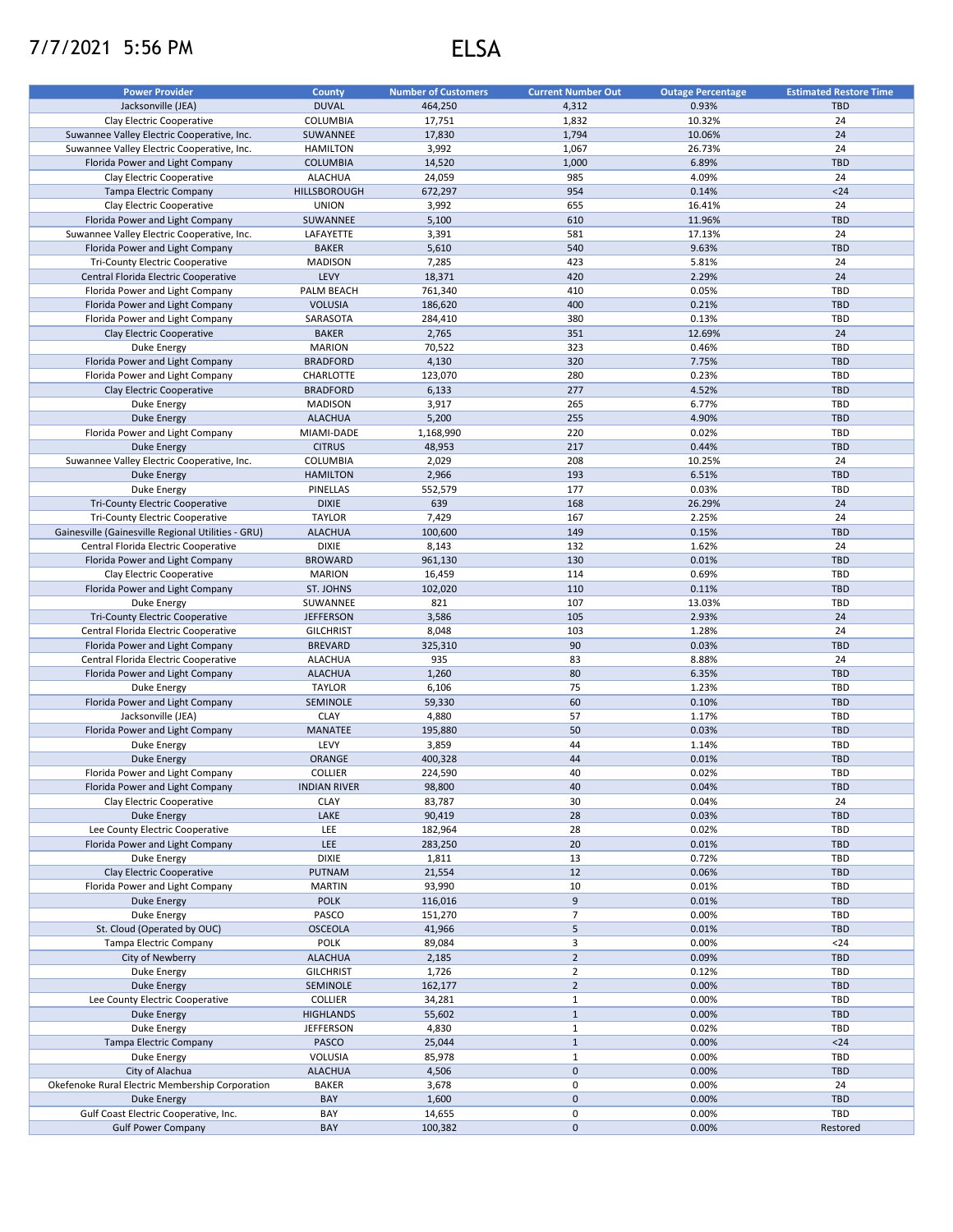## 7/7/2021 5:56 PM ELSA

| <b>DUVAL</b><br>Jacksonville (JEA)<br>464.250<br>4,312<br>0.93%<br><b>TBD</b><br>1,832<br>10.32%<br>24<br>Clay Electric Cooperative<br>COLUMBIA<br>17,751<br>24<br>17,830<br>1,794<br>10.06%<br>Suwannee Valley Electric Cooperative, Inc.<br>SUWANNEE<br>Suwannee Valley Electric Cooperative, Inc.<br>3,992<br>1,067<br>26.73%<br>24<br><b>HAMILTON</b><br><b>TBD</b><br>14,520<br>1,000<br>6.89%<br>Florida Power and Light Company<br><b>COLUMBIA</b><br>4.09%<br>24<br>Clay Electric Cooperative<br><b>ALACHUA</b><br>24,059<br>985<br>$24$<br>672,297<br>954<br>0.14%<br><b>Tampa Electric Company</b><br>HILLSBOROUGH<br><b>UNION</b><br>3,992<br>24<br>Clay Electric Cooperative<br>655<br>16.41%<br>11.96%<br><b>TBD</b><br>Florida Power and Light Company<br>SUWANNEE<br>5,100<br>610<br>581<br>17.13%<br>24<br>Suwannee Valley Electric Cooperative, Inc.<br>LAFAYETTE<br>3,391<br><b>BAKER</b><br>5,610<br>540<br>9.63%<br><b>TBD</b><br>Florida Power and Light Company<br><b>MADISON</b><br>423<br>5.81%<br>24<br><b>Tri-County Electric Cooperative</b><br>7,285<br>LEVY<br>18,371<br>420<br>2.29%<br>24<br>Central Florida Electric Cooperative<br>PALM BEACH<br>761,340<br>0.05%<br>TBD<br>Florida Power and Light Company<br>410<br><b>VOLUSIA</b><br>400<br>0.21%<br><b>TBD</b><br>Florida Power and Light Company<br>186,620<br>0.13%<br>TBD<br>Florida Power and Light Company<br>SARASOTA<br>284,410<br>380<br><b>BAKER</b><br>12.69%<br>24<br>Clay Electric Cooperative<br>2,765<br>351<br>TBD<br>Duke Energy<br><b>MARION</b><br>70,522<br>323<br>0.46%<br>7.75%<br><b>TBD</b><br>Florida Power and Light Company<br><b>BRADFORD</b><br>4,130<br>320<br>0.23%<br>TBD<br>Florida Power and Light Company<br>123,070<br>280<br>CHARLOTTE<br>277<br>4.52%<br><b>TBD</b><br>Clay Electric Cooperative<br><b>BRADFORD</b><br>6,133<br>265<br>6.77%<br>Duke Energy<br><b>MADISON</b><br>3,917<br>TBD<br><b>Duke Energy</b><br><b>ALACHUA</b><br>5,200<br>255<br>4.90%<br><b>TBD</b><br>0.02%<br>Florida Power and Light Company<br>MIAMI-DADE<br>1,168,990<br>220<br><b>TBD</b><br><b>CITRUS</b><br>217<br>0.44%<br><b>TBD</b><br>Duke Energy<br>48,953<br>2,029<br>208<br>10.25%<br>24<br>Suwannee Valley Electric Cooperative, Inc.<br>COLUMBIA<br>193<br>6.51%<br><b>TBD</b><br>Duke Energy<br><b>HAMILTON</b><br>2,966<br>PINELLAS<br>552,579<br>177<br>0.03%<br>TBD<br>Duke Energy<br><b>DIXIE</b><br>639<br>168<br>26.29%<br>24<br><b>Tri-County Electric Cooperative</b><br>24<br>7,429<br>2.25%<br><b>Tri-County Electric Cooperative</b><br><b>TAYLOR</b><br>167<br><b>ALACHUA</b><br>100,600<br>0.15%<br><b>TBD</b><br>Gainesville (Gainesville Regional Utilities - GRU)<br>149<br><b>DIXIE</b><br>1.62%<br>24<br>Central Florida Electric Cooperative<br>8,143<br>132<br><b>BROWARD</b><br>961,130<br>0.01%<br><b>TBD</b><br>Florida Power and Light Company<br>130<br><b>MARION</b><br>0.69%<br><b>TBD</b><br>Clay Electric Cooperative<br>16,459<br>114<br>0.11%<br>TBD<br>Florida Power and Light Company<br>ST. JOHNS<br>102,020<br>110<br>821<br>107<br>13.03%<br><b>TBD</b><br>Duke Energy<br>SUWANNEE<br>105<br>2.93%<br>24<br><b>Tri-County Electric Cooperative</b><br><b>JEFFERSON</b><br>3,586<br>24<br><b>GILCHRIST</b><br>8,048<br>103<br>1.28%<br>Central Florida Electric Cooperative<br>90<br><b>BREVARD</b><br>325,310<br>0.03%<br><b>TBD</b><br>Florida Power and Light Company<br><b>ALACHUA</b><br>935<br>83<br>8.88%<br>24<br>Central Florida Electric Cooperative<br>80<br>6.35%<br><b>TBD</b><br>Florida Power and Light Company<br><b>ALACHUA</b><br>1,260<br>75<br><b>TAYLOR</b><br>6,106<br>1.23%<br><b>TBD</b><br>Duke Energy<br>59,330<br>60<br>0.10%<br><b>TBD</b><br>Florida Power and Light Company<br>SEMINOLE<br><b>CLAY</b><br>57<br>TBD<br>Jacksonville (JEA)<br>4,880<br>1.17%<br>50<br>Florida Power and Light Company<br><b>MANATEE</b><br>195,880<br>0.03%<br><b>TBD</b><br>LEVY<br>44<br><b>TBD</b><br>Duke Energy<br>3,859<br>1.14%<br>ORANGE<br>44<br>0.01%<br><b>Duke Energy</b><br>400,328<br><b>TBD</b><br><b>COLLIER</b><br>40<br>0.02%<br>TBD<br>Florida Power and Light Company<br>224,590<br>Florida Power and Light Company<br><b>INDIAN RIVER</b><br>98,800<br>40<br>0.04%<br>TBD<br>30<br>0.04%<br>24<br>Clay Electric Cooperative<br><b>CLAY</b><br>83,787<br>LAKE<br>90,419<br>28<br>0.03%<br><b>TBD</b><br><b>Duke Energy</b><br>Lee County Electric Cooperative<br>LEE<br>182,964<br>28<br>0.02%<br>TBD<br><b>LEE</b><br>Florida Power and Light Company<br>20<br>0.01%<br><b>TBD</b><br>283,250<br><b>DIXIE</b><br>13<br>0.72%<br>TBD<br>Duke Energy<br>1,811<br>12<br>0.06%<br>Clay Electric Cooperative<br><b>PUTNAM</b><br><b>TBD</b><br>21,554<br>10<br>Florida Power and Light Company<br><b>MARTIN</b><br>93,990<br>0.01%<br>TBD<br>$9\,$<br><b>POLK</b><br>0.01%<br><b>TBD</b><br>Duke Energy<br>116,016<br>$\overline{7}$<br>PASCO<br>0.00%<br>TBD<br>Duke Energy<br>151,270<br>5<br>St. Cloud (Operated by OUC)<br><b>OSCEOLA</b><br>0.01%<br><b>TBD</b><br>41,966<br>3<br><b>POLK</b><br>0.00%<br>$24$<br>Tampa Electric Company<br>89,084<br>$\overline{2}$<br>City of Newberry<br><b>ALACHUA</b><br>0.09%<br><b>TBD</b><br>2,185<br><b>GILCHRIST</b><br>$\overline{2}$<br>TBD<br>Duke Energy<br>1,726<br>0.12%<br>$\overline{2}$<br>Duke Energy<br>SEMINOLE<br>0.00%<br><b>TBD</b><br>162,177<br>Lee County Electric Cooperative<br><b>COLLIER</b><br>$1\,$<br>0.00%<br>TBD<br>34,281<br>$\mathbf{1}$<br>0.00%<br><b>TBD</b><br>Duke Energy<br><b>HIGHLANDS</b><br>55,602<br>$\mathbf{1}$<br>TBD<br>Duke Energy<br><b>JEFFERSON</b><br>4,830<br>0.02%<br>$\mathbf 1$<br>PASCO<br>0.00%<br>$24$<br>Tampa Electric Company<br>25,044<br>$\mathbf{1}$<br>Duke Energy<br>VOLUSIA<br>85,978<br>0.00%<br>TBD<br>$\mathbf 0$<br>0.00%<br><b>TBD</b><br>City of Alachua<br><b>ALACHUA</b><br>4,506<br>$\pmb{0}$<br>24<br>Okefenoke Rural Electric Membership Corporation<br><b>BAKER</b><br>3,678<br>0.00%<br>$\mathbf 0$<br>0.00%<br>Duke Energy<br>BAY<br>1,600<br><b>TBD</b><br>0<br>TBD<br>Gulf Coast Electric Cooperative, Inc.<br>BAY<br>14,655<br>0.00%<br><b>Gulf Power Company</b><br>BAY<br>$\mathbf 0$<br>0.00%<br>100,382<br>Restored | <b>Power Provider</b> | <b>County</b> | <b>Number of Customers</b> | <b>Current Number Out</b> | <b>Outage Percentage</b> | <b>Estimated Restore Time</b> |
|-----------------------------------------------------------------------------------------------------------------------------------------------------------------------------------------------------------------------------------------------------------------------------------------------------------------------------------------------------------------------------------------------------------------------------------------------------------------------------------------------------------------------------------------------------------------------------------------------------------------------------------------------------------------------------------------------------------------------------------------------------------------------------------------------------------------------------------------------------------------------------------------------------------------------------------------------------------------------------------------------------------------------------------------------------------------------------------------------------------------------------------------------------------------------------------------------------------------------------------------------------------------------------------------------------------------------------------------------------------------------------------------------------------------------------------------------------------------------------------------------------------------------------------------------------------------------------------------------------------------------------------------------------------------------------------------------------------------------------------------------------------------------------------------------------------------------------------------------------------------------------------------------------------------------------------------------------------------------------------------------------------------------------------------------------------------------------------------------------------------------------------------------------------------------------------------------------------------------------------------------------------------------------------------------------------------------------------------------------------------------------------------------------------------------------------------------------------------------------------------------------------------------------------------------------------------------------------------------------------------------------------------------------------------------------------------------------------------------------------------------------------------------------------------------------------------------------------------------------------------------------------------------------------------------------------------------------------------------------------------------------------------------------------------------------------------------------------------------------------------------------------------------------------------------------------------------------------------------------------------------------------------------------------------------------------------------------------------------------------------------------------------------------------------------------------------------------------------------------------------------------------------------------------------------------------------------------------------------------------------------------------------------------------------------------------------------------------------------------------------------------------------------------------------------------------------------------------------------------------------------------------------------------------------------------------------------------------------------------------------------------------------------------------------------------------------------------------------------------------------------------------------------------------------------------------------------------------------------------------------------------------------------------------------------------------------------------------------------------------------------------------------------------------------------------------------------------------------------------------------------------------------------------------------------------------------------------------------------------------------------------------------------------------------------------------------------------------------------------------------------------------------------------------------------------------------------------------------------------------------------------------------------------------------------------------------------------------------------------------------------------------------------------------------------------------------------------------------------------------------------------------------------------------------------------------------------------------------------------------------------------------------------------------------------------------------------------------------------------------------------------------------------------------------------------------------------------------------------------------------------------------------------------------------------------------------------------------------------------------------------------------------------------------------------------------------------------------------------------------------------------------------------------------------------------------------------------------------------------------------------------------------------------------------------------------------------------------------------------------------------------------------------------------------------------------------------------------------------------------------------------------------------------------------------------------------------------------------------------------------------|-----------------------|---------------|----------------------------|---------------------------|--------------------------|-------------------------------|
|                                                                                                                                                                                                                                                                                                                                                                                                                                                                                                                                                                                                                                                                                                                                                                                                                                                                                                                                                                                                                                                                                                                                                                                                                                                                                                                                                                                                                                                                                                                                                                                                                                                                                                                                                                                                                                                                                                                                                                                                                                                                                                                                                                                                                                                                                                                                                                                                                                                                                                                                                                                                                                                                                                                                                                                                                                                                                                                                                                                                                                                                                                                                                                                                                                                                                                                                                                                                                                                                                                                                                                                                                                                                                                                                                                                                                                                                                                                                                                                                                                                                                                                                                                                                                                                                                                                                                                                                                                                                                                                                                                                                                                                                                                                                                                                                                                                                                                                                                                                                                                                                                                                                                                                                                                                                                                                                                                                                                                                                                                                                                                                                                                                                                                                                                                                                                                                                                                                                                                                                                                                                                                                                                                                                                                               |                       |               |                            |                           |                          |                               |
|                                                                                                                                                                                                                                                                                                                                                                                                                                                                                                                                                                                                                                                                                                                                                                                                                                                                                                                                                                                                                                                                                                                                                                                                                                                                                                                                                                                                                                                                                                                                                                                                                                                                                                                                                                                                                                                                                                                                                                                                                                                                                                                                                                                                                                                                                                                                                                                                                                                                                                                                                                                                                                                                                                                                                                                                                                                                                                                                                                                                                                                                                                                                                                                                                                                                                                                                                                                                                                                                                                                                                                                                                                                                                                                                                                                                                                                                                                                                                                                                                                                                                                                                                                                                                                                                                                                                                                                                                                                                                                                                                                                                                                                                                                                                                                                                                                                                                                                                                                                                                                                                                                                                                                                                                                                                                                                                                                                                                                                                                                                                                                                                                                                                                                                                                                                                                                                                                                                                                                                                                                                                                                                                                                                                                                               |                       |               |                            |                           |                          |                               |
|                                                                                                                                                                                                                                                                                                                                                                                                                                                                                                                                                                                                                                                                                                                                                                                                                                                                                                                                                                                                                                                                                                                                                                                                                                                                                                                                                                                                                                                                                                                                                                                                                                                                                                                                                                                                                                                                                                                                                                                                                                                                                                                                                                                                                                                                                                                                                                                                                                                                                                                                                                                                                                                                                                                                                                                                                                                                                                                                                                                                                                                                                                                                                                                                                                                                                                                                                                                                                                                                                                                                                                                                                                                                                                                                                                                                                                                                                                                                                                                                                                                                                                                                                                                                                                                                                                                                                                                                                                                                                                                                                                                                                                                                                                                                                                                                                                                                                                                                                                                                                                                                                                                                                                                                                                                                                                                                                                                                                                                                                                                                                                                                                                                                                                                                                                                                                                                                                                                                                                                                                                                                                                                                                                                                                                               |                       |               |                            |                           |                          |                               |
|                                                                                                                                                                                                                                                                                                                                                                                                                                                                                                                                                                                                                                                                                                                                                                                                                                                                                                                                                                                                                                                                                                                                                                                                                                                                                                                                                                                                                                                                                                                                                                                                                                                                                                                                                                                                                                                                                                                                                                                                                                                                                                                                                                                                                                                                                                                                                                                                                                                                                                                                                                                                                                                                                                                                                                                                                                                                                                                                                                                                                                                                                                                                                                                                                                                                                                                                                                                                                                                                                                                                                                                                                                                                                                                                                                                                                                                                                                                                                                                                                                                                                                                                                                                                                                                                                                                                                                                                                                                                                                                                                                                                                                                                                                                                                                                                                                                                                                                                                                                                                                                                                                                                                                                                                                                                                                                                                                                                                                                                                                                                                                                                                                                                                                                                                                                                                                                                                                                                                                                                                                                                                                                                                                                                                                               |                       |               |                            |                           |                          |                               |
|                                                                                                                                                                                                                                                                                                                                                                                                                                                                                                                                                                                                                                                                                                                                                                                                                                                                                                                                                                                                                                                                                                                                                                                                                                                                                                                                                                                                                                                                                                                                                                                                                                                                                                                                                                                                                                                                                                                                                                                                                                                                                                                                                                                                                                                                                                                                                                                                                                                                                                                                                                                                                                                                                                                                                                                                                                                                                                                                                                                                                                                                                                                                                                                                                                                                                                                                                                                                                                                                                                                                                                                                                                                                                                                                                                                                                                                                                                                                                                                                                                                                                                                                                                                                                                                                                                                                                                                                                                                                                                                                                                                                                                                                                                                                                                                                                                                                                                                                                                                                                                                                                                                                                                                                                                                                                                                                                                                                                                                                                                                                                                                                                                                                                                                                                                                                                                                                                                                                                                                                                                                                                                                                                                                                                                               |                       |               |                            |                           |                          |                               |
|                                                                                                                                                                                                                                                                                                                                                                                                                                                                                                                                                                                                                                                                                                                                                                                                                                                                                                                                                                                                                                                                                                                                                                                                                                                                                                                                                                                                                                                                                                                                                                                                                                                                                                                                                                                                                                                                                                                                                                                                                                                                                                                                                                                                                                                                                                                                                                                                                                                                                                                                                                                                                                                                                                                                                                                                                                                                                                                                                                                                                                                                                                                                                                                                                                                                                                                                                                                                                                                                                                                                                                                                                                                                                                                                                                                                                                                                                                                                                                                                                                                                                                                                                                                                                                                                                                                                                                                                                                                                                                                                                                                                                                                                                                                                                                                                                                                                                                                                                                                                                                                                                                                                                                                                                                                                                                                                                                                                                                                                                                                                                                                                                                                                                                                                                                                                                                                                                                                                                                                                                                                                                                                                                                                                                                               |                       |               |                            |                           |                          |                               |
|                                                                                                                                                                                                                                                                                                                                                                                                                                                                                                                                                                                                                                                                                                                                                                                                                                                                                                                                                                                                                                                                                                                                                                                                                                                                                                                                                                                                                                                                                                                                                                                                                                                                                                                                                                                                                                                                                                                                                                                                                                                                                                                                                                                                                                                                                                                                                                                                                                                                                                                                                                                                                                                                                                                                                                                                                                                                                                                                                                                                                                                                                                                                                                                                                                                                                                                                                                                                                                                                                                                                                                                                                                                                                                                                                                                                                                                                                                                                                                                                                                                                                                                                                                                                                                                                                                                                                                                                                                                                                                                                                                                                                                                                                                                                                                                                                                                                                                                                                                                                                                                                                                                                                                                                                                                                                                                                                                                                                                                                                                                                                                                                                                                                                                                                                                                                                                                                                                                                                                                                                                                                                                                                                                                                                                               |                       |               |                            |                           |                          |                               |
|                                                                                                                                                                                                                                                                                                                                                                                                                                                                                                                                                                                                                                                                                                                                                                                                                                                                                                                                                                                                                                                                                                                                                                                                                                                                                                                                                                                                                                                                                                                                                                                                                                                                                                                                                                                                                                                                                                                                                                                                                                                                                                                                                                                                                                                                                                                                                                                                                                                                                                                                                                                                                                                                                                                                                                                                                                                                                                                                                                                                                                                                                                                                                                                                                                                                                                                                                                                                                                                                                                                                                                                                                                                                                                                                                                                                                                                                                                                                                                                                                                                                                                                                                                                                                                                                                                                                                                                                                                                                                                                                                                                                                                                                                                                                                                                                                                                                                                                                                                                                                                                                                                                                                                                                                                                                                                                                                                                                                                                                                                                                                                                                                                                                                                                                                                                                                                                                                                                                                                                                                                                                                                                                                                                                                                               |                       |               |                            |                           |                          |                               |
|                                                                                                                                                                                                                                                                                                                                                                                                                                                                                                                                                                                                                                                                                                                                                                                                                                                                                                                                                                                                                                                                                                                                                                                                                                                                                                                                                                                                                                                                                                                                                                                                                                                                                                                                                                                                                                                                                                                                                                                                                                                                                                                                                                                                                                                                                                                                                                                                                                                                                                                                                                                                                                                                                                                                                                                                                                                                                                                                                                                                                                                                                                                                                                                                                                                                                                                                                                                                                                                                                                                                                                                                                                                                                                                                                                                                                                                                                                                                                                                                                                                                                                                                                                                                                                                                                                                                                                                                                                                                                                                                                                                                                                                                                                                                                                                                                                                                                                                                                                                                                                                                                                                                                                                                                                                                                                                                                                                                                                                                                                                                                                                                                                                                                                                                                                                                                                                                                                                                                                                                                                                                                                                                                                                                                                               |                       |               |                            |                           |                          |                               |
|                                                                                                                                                                                                                                                                                                                                                                                                                                                                                                                                                                                                                                                                                                                                                                                                                                                                                                                                                                                                                                                                                                                                                                                                                                                                                                                                                                                                                                                                                                                                                                                                                                                                                                                                                                                                                                                                                                                                                                                                                                                                                                                                                                                                                                                                                                                                                                                                                                                                                                                                                                                                                                                                                                                                                                                                                                                                                                                                                                                                                                                                                                                                                                                                                                                                                                                                                                                                                                                                                                                                                                                                                                                                                                                                                                                                                                                                                                                                                                                                                                                                                                                                                                                                                                                                                                                                                                                                                                                                                                                                                                                                                                                                                                                                                                                                                                                                                                                                                                                                                                                                                                                                                                                                                                                                                                                                                                                                                                                                                                                                                                                                                                                                                                                                                                                                                                                                                                                                                                                                                                                                                                                                                                                                                                               |                       |               |                            |                           |                          |                               |
|                                                                                                                                                                                                                                                                                                                                                                                                                                                                                                                                                                                                                                                                                                                                                                                                                                                                                                                                                                                                                                                                                                                                                                                                                                                                                                                                                                                                                                                                                                                                                                                                                                                                                                                                                                                                                                                                                                                                                                                                                                                                                                                                                                                                                                                                                                                                                                                                                                                                                                                                                                                                                                                                                                                                                                                                                                                                                                                                                                                                                                                                                                                                                                                                                                                                                                                                                                                                                                                                                                                                                                                                                                                                                                                                                                                                                                                                                                                                                                                                                                                                                                                                                                                                                                                                                                                                                                                                                                                                                                                                                                                                                                                                                                                                                                                                                                                                                                                                                                                                                                                                                                                                                                                                                                                                                                                                                                                                                                                                                                                                                                                                                                                                                                                                                                                                                                                                                                                                                                                                                                                                                                                                                                                                                                               |                       |               |                            |                           |                          |                               |
|                                                                                                                                                                                                                                                                                                                                                                                                                                                                                                                                                                                                                                                                                                                                                                                                                                                                                                                                                                                                                                                                                                                                                                                                                                                                                                                                                                                                                                                                                                                                                                                                                                                                                                                                                                                                                                                                                                                                                                                                                                                                                                                                                                                                                                                                                                                                                                                                                                                                                                                                                                                                                                                                                                                                                                                                                                                                                                                                                                                                                                                                                                                                                                                                                                                                                                                                                                                                                                                                                                                                                                                                                                                                                                                                                                                                                                                                                                                                                                                                                                                                                                                                                                                                                                                                                                                                                                                                                                                                                                                                                                                                                                                                                                                                                                                                                                                                                                                                                                                                                                                                                                                                                                                                                                                                                                                                                                                                                                                                                                                                                                                                                                                                                                                                                                                                                                                                                                                                                                                                                                                                                                                                                                                                                                               |                       |               |                            |                           |                          |                               |
|                                                                                                                                                                                                                                                                                                                                                                                                                                                                                                                                                                                                                                                                                                                                                                                                                                                                                                                                                                                                                                                                                                                                                                                                                                                                                                                                                                                                                                                                                                                                                                                                                                                                                                                                                                                                                                                                                                                                                                                                                                                                                                                                                                                                                                                                                                                                                                                                                                                                                                                                                                                                                                                                                                                                                                                                                                                                                                                                                                                                                                                                                                                                                                                                                                                                                                                                                                                                                                                                                                                                                                                                                                                                                                                                                                                                                                                                                                                                                                                                                                                                                                                                                                                                                                                                                                                                                                                                                                                                                                                                                                                                                                                                                                                                                                                                                                                                                                                                                                                                                                                                                                                                                                                                                                                                                                                                                                                                                                                                                                                                                                                                                                                                                                                                                                                                                                                                                                                                                                                                                                                                                                                                                                                                                                               |                       |               |                            |                           |                          |                               |
|                                                                                                                                                                                                                                                                                                                                                                                                                                                                                                                                                                                                                                                                                                                                                                                                                                                                                                                                                                                                                                                                                                                                                                                                                                                                                                                                                                                                                                                                                                                                                                                                                                                                                                                                                                                                                                                                                                                                                                                                                                                                                                                                                                                                                                                                                                                                                                                                                                                                                                                                                                                                                                                                                                                                                                                                                                                                                                                                                                                                                                                                                                                                                                                                                                                                                                                                                                                                                                                                                                                                                                                                                                                                                                                                                                                                                                                                                                                                                                                                                                                                                                                                                                                                                                                                                                                                                                                                                                                                                                                                                                                                                                                                                                                                                                                                                                                                                                                                                                                                                                                                                                                                                                                                                                                                                                                                                                                                                                                                                                                                                                                                                                                                                                                                                                                                                                                                                                                                                                                                                                                                                                                                                                                                                                               |                       |               |                            |                           |                          |                               |
|                                                                                                                                                                                                                                                                                                                                                                                                                                                                                                                                                                                                                                                                                                                                                                                                                                                                                                                                                                                                                                                                                                                                                                                                                                                                                                                                                                                                                                                                                                                                                                                                                                                                                                                                                                                                                                                                                                                                                                                                                                                                                                                                                                                                                                                                                                                                                                                                                                                                                                                                                                                                                                                                                                                                                                                                                                                                                                                                                                                                                                                                                                                                                                                                                                                                                                                                                                                                                                                                                                                                                                                                                                                                                                                                                                                                                                                                                                                                                                                                                                                                                                                                                                                                                                                                                                                                                                                                                                                                                                                                                                                                                                                                                                                                                                                                                                                                                                                                                                                                                                                                                                                                                                                                                                                                                                                                                                                                                                                                                                                                                                                                                                                                                                                                                                                                                                                                                                                                                                                                                                                                                                                                                                                                                                               |                       |               |                            |                           |                          |                               |
|                                                                                                                                                                                                                                                                                                                                                                                                                                                                                                                                                                                                                                                                                                                                                                                                                                                                                                                                                                                                                                                                                                                                                                                                                                                                                                                                                                                                                                                                                                                                                                                                                                                                                                                                                                                                                                                                                                                                                                                                                                                                                                                                                                                                                                                                                                                                                                                                                                                                                                                                                                                                                                                                                                                                                                                                                                                                                                                                                                                                                                                                                                                                                                                                                                                                                                                                                                                                                                                                                                                                                                                                                                                                                                                                                                                                                                                                                                                                                                                                                                                                                                                                                                                                                                                                                                                                                                                                                                                                                                                                                                                                                                                                                                                                                                                                                                                                                                                                                                                                                                                                                                                                                                                                                                                                                                                                                                                                                                                                                                                                                                                                                                                                                                                                                                                                                                                                                                                                                                                                                                                                                                                                                                                                                                               |                       |               |                            |                           |                          |                               |
|                                                                                                                                                                                                                                                                                                                                                                                                                                                                                                                                                                                                                                                                                                                                                                                                                                                                                                                                                                                                                                                                                                                                                                                                                                                                                                                                                                                                                                                                                                                                                                                                                                                                                                                                                                                                                                                                                                                                                                                                                                                                                                                                                                                                                                                                                                                                                                                                                                                                                                                                                                                                                                                                                                                                                                                                                                                                                                                                                                                                                                                                                                                                                                                                                                                                                                                                                                                                                                                                                                                                                                                                                                                                                                                                                                                                                                                                                                                                                                                                                                                                                                                                                                                                                                                                                                                                                                                                                                                                                                                                                                                                                                                                                                                                                                                                                                                                                                                                                                                                                                                                                                                                                                                                                                                                                                                                                                                                                                                                                                                                                                                                                                                                                                                                                                                                                                                                                                                                                                                                                                                                                                                                                                                                                                               |                       |               |                            |                           |                          |                               |
|                                                                                                                                                                                                                                                                                                                                                                                                                                                                                                                                                                                                                                                                                                                                                                                                                                                                                                                                                                                                                                                                                                                                                                                                                                                                                                                                                                                                                                                                                                                                                                                                                                                                                                                                                                                                                                                                                                                                                                                                                                                                                                                                                                                                                                                                                                                                                                                                                                                                                                                                                                                                                                                                                                                                                                                                                                                                                                                                                                                                                                                                                                                                                                                                                                                                                                                                                                                                                                                                                                                                                                                                                                                                                                                                                                                                                                                                                                                                                                                                                                                                                                                                                                                                                                                                                                                                                                                                                                                                                                                                                                                                                                                                                                                                                                                                                                                                                                                                                                                                                                                                                                                                                                                                                                                                                                                                                                                                                                                                                                                                                                                                                                                                                                                                                                                                                                                                                                                                                                                                                                                                                                                                                                                                                                               |                       |               |                            |                           |                          |                               |
|                                                                                                                                                                                                                                                                                                                                                                                                                                                                                                                                                                                                                                                                                                                                                                                                                                                                                                                                                                                                                                                                                                                                                                                                                                                                                                                                                                                                                                                                                                                                                                                                                                                                                                                                                                                                                                                                                                                                                                                                                                                                                                                                                                                                                                                                                                                                                                                                                                                                                                                                                                                                                                                                                                                                                                                                                                                                                                                                                                                                                                                                                                                                                                                                                                                                                                                                                                                                                                                                                                                                                                                                                                                                                                                                                                                                                                                                                                                                                                                                                                                                                                                                                                                                                                                                                                                                                                                                                                                                                                                                                                                                                                                                                                                                                                                                                                                                                                                                                                                                                                                                                                                                                                                                                                                                                                                                                                                                                                                                                                                                                                                                                                                                                                                                                                                                                                                                                                                                                                                                                                                                                                                                                                                                                                               |                       |               |                            |                           |                          |                               |
|                                                                                                                                                                                                                                                                                                                                                                                                                                                                                                                                                                                                                                                                                                                                                                                                                                                                                                                                                                                                                                                                                                                                                                                                                                                                                                                                                                                                                                                                                                                                                                                                                                                                                                                                                                                                                                                                                                                                                                                                                                                                                                                                                                                                                                                                                                                                                                                                                                                                                                                                                                                                                                                                                                                                                                                                                                                                                                                                                                                                                                                                                                                                                                                                                                                                                                                                                                                                                                                                                                                                                                                                                                                                                                                                                                                                                                                                                                                                                                                                                                                                                                                                                                                                                                                                                                                                                                                                                                                                                                                                                                                                                                                                                                                                                                                                                                                                                                                                                                                                                                                                                                                                                                                                                                                                                                                                                                                                                                                                                                                                                                                                                                                                                                                                                                                                                                                                                                                                                                                                                                                                                                                                                                                                                                               |                       |               |                            |                           |                          |                               |
|                                                                                                                                                                                                                                                                                                                                                                                                                                                                                                                                                                                                                                                                                                                                                                                                                                                                                                                                                                                                                                                                                                                                                                                                                                                                                                                                                                                                                                                                                                                                                                                                                                                                                                                                                                                                                                                                                                                                                                                                                                                                                                                                                                                                                                                                                                                                                                                                                                                                                                                                                                                                                                                                                                                                                                                                                                                                                                                                                                                                                                                                                                                                                                                                                                                                                                                                                                                                                                                                                                                                                                                                                                                                                                                                                                                                                                                                                                                                                                                                                                                                                                                                                                                                                                                                                                                                                                                                                                                                                                                                                                                                                                                                                                                                                                                                                                                                                                                                                                                                                                                                                                                                                                                                                                                                                                                                                                                                                                                                                                                                                                                                                                                                                                                                                                                                                                                                                                                                                                                                                                                                                                                                                                                                                                               |                       |               |                            |                           |                          |                               |
|                                                                                                                                                                                                                                                                                                                                                                                                                                                                                                                                                                                                                                                                                                                                                                                                                                                                                                                                                                                                                                                                                                                                                                                                                                                                                                                                                                                                                                                                                                                                                                                                                                                                                                                                                                                                                                                                                                                                                                                                                                                                                                                                                                                                                                                                                                                                                                                                                                                                                                                                                                                                                                                                                                                                                                                                                                                                                                                                                                                                                                                                                                                                                                                                                                                                                                                                                                                                                                                                                                                                                                                                                                                                                                                                                                                                                                                                                                                                                                                                                                                                                                                                                                                                                                                                                                                                                                                                                                                                                                                                                                                                                                                                                                                                                                                                                                                                                                                                                                                                                                                                                                                                                                                                                                                                                                                                                                                                                                                                                                                                                                                                                                                                                                                                                                                                                                                                                                                                                                                                                                                                                                                                                                                                                                               |                       |               |                            |                           |                          |                               |
|                                                                                                                                                                                                                                                                                                                                                                                                                                                                                                                                                                                                                                                                                                                                                                                                                                                                                                                                                                                                                                                                                                                                                                                                                                                                                                                                                                                                                                                                                                                                                                                                                                                                                                                                                                                                                                                                                                                                                                                                                                                                                                                                                                                                                                                                                                                                                                                                                                                                                                                                                                                                                                                                                                                                                                                                                                                                                                                                                                                                                                                                                                                                                                                                                                                                                                                                                                                                                                                                                                                                                                                                                                                                                                                                                                                                                                                                                                                                                                                                                                                                                                                                                                                                                                                                                                                                                                                                                                                                                                                                                                                                                                                                                                                                                                                                                                                                                                                                                                                                                                                                                                                                                                                                                                                                                                                                                                                                                                                                                                                                                                                                                                                                                                                                                                                                                                                                                                                                                                                                                                                                                                                                                                                                                                               |                       |               |                            |                           |                          |                               |
|                                                                                                                                                                                                                                                                                                                                                                                                                                                                                                                                                                                                                                                                                                                                                                                                                                                                                                                                                                                                                                                                                                                                                                                                                                                                                                                                                                                                                                                                                                                                                                                                                                                                                                                                                                                                                                                                                                                                                                                                                                                                                                                                                                                                                                                                                                                                                                                                                                                                                                                                                                                                                                                                                                                                                                                                                                                                                                                                                                                                                                                                                                                                                                                                                                                                                                                                                                                                                                                                                                                                                                                                                                                                                                                                                                                                                                                                                                                                                                                                                                                                                                                                                                                                                                                                                                                                                                                                                                                                                                                                                                                                                                                                                                                                                                                                                                                                                                                                                                                                                                                                                                                                                                                                                                                                                                                                                                                                                                                                                                                                                                                                                                                                                                                                                                                                                                                                                                                                                                                                                                                                                                                                                                                                                                               |                       |               |                            |                           |                          |                               |
|                                                                                                                                                                                                                                                                                                                                                                                                                                                                                                                                                                                                                                                                                                                                                                                                                                                                                                                                                                                                                                                                                                                                                                                                                                                                                                                                                                                                                                                                                                                                                                                                                                                                                                                                                                                                                                                                                                                                                                                                                                                                                                                                                                                                                                                                                                                                                                                                                                                                                                                                                                                                                                                                                                                                                                                                                                                                                                                                                                                                                                                                                                                                                                                                                                                                                                                                                                                                                                                                                                                                                                                                                                                                                                                                                                                                                                                                                                                                                                                                                                                                                                                                                                                                                                                                                                                                                                                                                                                                                                                                                                                                                                                                                                                                                                                                                                                                                                                                                                                                                                                                                                                                                                                                                                                                                                                                                                                                                                                                                                                                                                                                                                                                                                                                                                                                                                                                                                                                                                                                                                                                                                                                                                                                                                               |                       |               |                            |                           |                          |                               |
|                                                                                                                                                                                                                                                                                                                                                                                                                                                                                                                                                                                                                                                                                                                                                                                                                                                                                                                                                                                                                                                                                                                                                                                                                                                                                                                                                                                                                                                                                                                                                                                                                                                                                                                                                                                                                                                                                                                                                                                                                                                                                                                                                                                                                                                                                                                                                                                                                                                                                                                                                                                                                                                                                                                                                                                                                                                                                                                                                                                                                                                                                                                                                                                                                                                                                                                                                                                                                                                                                                                                                                                                                                                                                                                                                                                                                                                                                                                                                                                                                                                                                                                                                                                                                                                                                                                                                                                                                                                                                                                                                                                                                                                                                                                                                                                                                                                                                                                                                                                                                                                                                                                                                                                                                                                                                                                                                                                                                                                                                                                                                                                                                                                                                                                                                                                                                                                                                                                                                                                                                                                                                                                                                                                                                                               |                       |               |                            |                           |                          |                               |
|                                                                                                                                                                                                                                                                                                                                                                                                                                                                                                                                                                                                                                                                                                                                                                                                                                                                                                                                                                                                                                                                                                                                                                                                                                                                                                                                                                                                                                                                                                                                                                                                                                                                                                                                                                                                                                                                                                                                                                                                                                                                                                                                                                                                                                                                                                                                                                                                                                                                                                                                                                                                                                                                                                                                                                                                                                                                                                                                                                                                                                                                                                                                                                                                                                                                                                                                                                                                                                                                                                                                                                                                                                                                                                                                                                                                                                                                                                                                                                                                                                                                                                                                                                                                                                                                                                                                                                                                                                                                                                                                                                                                                                                                                                                                                                                                                                                                                                                                                                                                                                                                                                                                                                                                                                                                                                                                                                                                                                                                                                                                                                                                                                                                                                                                                                                                                                                                                                                                                                                                                                                                                                                                                                                                                                               |                       |               |                            |                           |                          |                               |
|                                                                                                                                                                                                                                                                                                                                                                                                                                                                                                                                                                                                                                                                                                                                                                                                                                                                                                                                                                                                                                                                                                                                                                                                                                                                                                                                                                                                                                                                                                                                                                                                                                                                                                                                                                                                                                                                                                                                                                                                                                                                                                                                                                                                                                                                                                                                                                                                                                                                                                                                                                                                                                                                                                                                                                                                                                                                                                                                                                                                                                                                                                                                                                                                                                                                                                                                                                                                                                                                                                                                                                                                                                                                                                                                                                                                                                                                                                                                                                                                                                                                                                                                                                                                                                                                                                                                                                                                                                                                                                                                                                                                                                                                                                                                                                                                                                                                                                                                                                                                                                                                                                                                                                                                                                                                                                                                                                                                                                                                                                                                                                                                                                                                                                                                                                                                                                                                                                                                                                                                                                                                                                                                                                                                                                               |                       |               |                            |                           |                          |                               |
|                                                                                                                                                                                                                                                                                                                                                                                                                                                                                                                                                                                                                                                                                                                                                                                                                                                                                                                                                                                                                                                                                                                                                                                                                                                                                                                                                                                                                                                                                                                                                                                                                                                                                                                                                                                                                                                                                                                                                                                                                                                                                                                                                                                                                                                                                                                                                                                                                                                                                                                                                                                                                                                                                                                                                                                                                                                                                                                                                                                                                                                                                                                                                                                                                                                                                                                                                                                                                                                                                                                                                                                                                                                                                                                                                                                                                                                                                                                                                                                                                                                                                                                                                                                                                                                                                                                                                                                                                                                                                                                                                                                                                                                                                                                                                                                                                                                                                                                                                                                                                                                                                                                                                                                                                                                                                                                                                                                                                                                                                                                                                                                                                                                                                                                                                                                                                                                                                                                                                                                                                                                                                                                                                                                                                                               |                       |               |                            |                           |                          |                               |
|                                                                                                                                                                                                                                                                                                                                                                                                                                                                                                                                                                                                                                                                                                                                                                                                                                                                                                                                                                                                                                                                                                                                                                                                                                                                                                                                                                                                                                                                                                                                                                                                                                                                                                                                                                                                                                                                                                                                                                                                                                                                                                                                                                                                                                                                                                                                                                                                                                                                                                                                                                                                                                                                                                                                                                                                                                                                                                                                                                                                                                                                                                                                                                                                                                                                                                                                                                                                                                                                                                                                                                                                                                                                                                                                                                                                                                                                                                                                                                                                                                                                                                                                                                                                                                                                                                                                                                                                                                                                                                                                                                                                                                                                                                                                                                                                                                                                                                                                                                                                                                                                                                                                                                                                                                                                                                                                                                                                                                                                                                                                                                                                                                                                                                                                                                                                                                                                                                                                                                                                                                                                                                                                                                                                                                               |                       |               |                            |                           |                          |                               |
|                                                                                                                                                                                                                                                                                                                                                                                                                                                                                                                                                                                                                                                                                                                                                                                                                                                                                                                                                                                                                                                                                                                                                                                                                                                                                                                                                                                                                                                                                                                                                                                                                                                                                                                                                                                                                                                                                                                                                                                                                                                                                                                                                                                                                                                                                                                                                                                                                                                                                                                                                                                                                                                                                                                                                                                                                                                                                                                                                                                                                                                                                                                                                                                                                                                                                                                                                                                                                                                                                                                                                                                                                                                                                                                                                                                                                                                                                                                                                                                                                                                                                                                                                                                                                                                                                                                                                                                                                                                                                                                                                                                                                                                                                                                                                                                                                                                                                                                                                                                                                                                                                                                                                                                                                                                                                                                                                                                                                                                                                                                                                                                                                                                                                                                                                                                                                                                                                                                                                                                                                                                                                                                                                                                                                                               |                       |               |                            |                           |                          |                               |
|                                                                                                                                                                                                                                                                                                                                                                                                                                                                                                                                                                                                                                                                                                                                                                                                                                                                                                                                                                                                                                                                                                                                                                                                                                                                                                                                                                                                                                                                                                                                                                                                                                                                                                                                                                                                                                                                                                                                                                                                                                                                                                                                                                                                                                                                                                                                                                                                                                                                                                                                                                                                                                                                                                                                                                                                                                                                                                                                                                                                                                                                                                                                                                                                                                                                                                                                                                                                                                                                                                                                                                                                                                                                                                                                                                                                                                                                                                                                                                                                                                                                                                                                                                                                                                                                                                                                                                                                                                                                                                                                                                                                                                                                                                                                                                                                                                                                                                                                                                                                                                                                                                                                                                                                                                                                                                                                                                                                                                                                                                                                                                                                                                                                                                                                                                                                                                                                                                                                                                                                                                                                                                                                                                                                                                               |                       |               |                            |                           |                          |                               |
|                                                                                                                                                                                                                                                                                                                                                                                                                                                                                                                                                                                                                                                                                                                                                                                                                                                                                                                                                                                                                                                                                                                                                                                                                                                                                                                                                                                                                                                                                                                                                                                                                                                                                                                                                                                                                                                                                                                                                                                                                                                                                                                                                                                                                                                                                                                                                                                                                                                                                                                                                                                                                                                                                                                                                                                                                                                                                                                                                                                                                                                                                                                                                                                                                                                                                                                                                                                                                                                                                                                                                                                                                                                                                                                                                                                                                                                                                                                                                                                                                                                                                                                                                                                                                                                                                                                                                                                                                                                                                                                                                                                                                                                                                                                                                                                                                                                                                                                                                                                                                                                                                                                                                                                                                                                                                                                                                                                                                                                                                                                                                                                                                                                                                                                                                                                                                                                                                                                                                                                                                                                                                                                                                                                                                                               |                       |               |                            |                           |                          |                               |
|                                                                                                                                                                                                                                                                                                                                                                                                                                                                                                                                                                                                                                                                                                                                                                                                                                                                                                                                                                                                                                                                                                                                                                                                                                                                                                                                                                                                                                                                                                                                                                                                                                                                                                                                                                                                                                                                                                                                                                                                                                                                                                                                                                                                                                                                                                                                                                                                                                                                                                                                                                                                                                                                                                                                                                                                                                                                                                                                                                                                                                                                                                                                                                                                                                                                                                                                                                                                                                                                                                                                                                                                                                                                                                                                                                                                                                                                                                                                                                                                                                                                                                                                                                                                                                                                                                                                                                                                                                                                                                                                                                                                                                                                                                                                                                                                                                                                                                                                                                                                                                                                                                                                                                                                                                                                                                                                                                                                                                                                                                                                                                                                                                                                                                                                                                                                                                                                                                                                                                                                                                                                                                                                                                                                                                               |                       |               |                            |                           |                          |                               |
|                                                                                                                                                                                                                                                                                                                                                                                                                                                                                                                                                                                                                                                                                                                                                                                                                                                                                                                                                                                                                                                                                                                                                                                                                                                                                                                                                                                                                                                                                                                                                                                                                                                                                                                                                                                                                                                                                                                                                                                                                                                                                                                                                                                                                                                                                                                                                                                                                                                                                                                                                                                                                                                                                                                                                                                                                                                                                                                                                                                                                                                                                                                                                                                                                                                                                                                                                                                                                                                                                                                                                                                                                                                                                                                                                                                                                                                                                                                                                                                                                                                                                                                                                                                                                                                                                                                                                                                                                                                                                                                                                                                                                                                                                                                                                                                                                                                                                                                                                                                                                                                                                                                                                                                                                                                                                                                                                                                                                                                                                                                                                                                                                                                                                                                                                                                                                                                                                                                                                                                                                                                                                                                                                                                                                                               |                       |               |                            |                           |                          |                               |
|                                                                                                                                                                                                                                                                                                                                                                                                                                                                                                                                                                                                                                                                                                                                                                                                                                                                                                                                                                                                                                                                                                                                                                                                                                                                                                                                                                                                                                                                                                                                                                                                                                                                                                                                                                                                                                                                                                                                                                                                                                                                                                                                                                                                                                                                                                                                                                                                                                                                                                                                                                                                                                                                                                                                                                                                                                                                                                                                                                                                                                                                                                                                                                                                                                                                                                                                                                                                                                                                                                                                                                                                                                                                                                                                                                                                                                                                                                                                                                                                                                                                                                                                                                                                                                                                                                                                                                                                                                                                                                                                                                                                                                                                                                                                                                                                                                                                                                                                                                                                                                                                                                                                                                                                                                                                                                                                                                                                                                                                                                                                                                                                                                                                                                                                                                                                                                                                                                                                                                                                                                                                                                                                                                                                                                               |                       |               |                            |                           |                          |                               |
|                                                                                                                                                                                                                                                                                                                                                                                                                                                                                                                                                                                                                                                                                                                                                                                                                                                                                                                                                                                                                                                                                                                                                                                                                                                                                                                                                                                                                                                                                                                                                                                                                                                                                                                                                                                                                                                                                                                                                                                                                                                                                                                                                                                                                                                                                                                                                                                                                                                                                                                                                                                                                                                                                                                                                                                                                                                                                                                                                                                                                                                                                                                                                                                                                                                                                                                                                                                                                                                                                                                                                                                                                                                                                                                                                                                                                                                                                                                                                                                                                                                                                                                                                                                                                                                                                                                                                                                                                                                                                                                                                                                                                                                                                                                                                                                                                                                                                                                                                                                                                                                                                                                                                                                                                                                                                                                                                                                                                                                                                                                                                                                                                                                                                                                                                                                                                                                                                                                                                                                                                                                                                                                                                                                                                                               |                       |               |                            |                           |                          |                               |
|                                                                                                                                                                                                                                                                                                                                                                                                                                                                                                                                                                                                                                                                                                                                                                                                                                                                                                                                                                                                                                                                                                                                                                                                                                                                                                                                                                                                                                                                                                                                                                                                                                                                                                                                                                                                                                                                                                                                                                                                                                                                                                                                                                                                                                                                                                                                                                                                                                                                                                                                                                                                                                                                                                                                                                                                                                                                                                                                                                                                                                                                                                                                                                                                                                                                                                                                                                                                                                                                                                                                                                                                                                                                                                                                                                                                                                                                                                                                                                                                                                                                                                                                                                                                                                                                                                                                                                                                                                                                                                                                                                                                                                                                                                                                                                                                                                                                                                                                                                                                                                                                                                                                                                                                                                                                                                                                                                                                                                                                                                                                                                                                                                                                                                                                                                                                                                                                                                                                                                                                                                                                                                                                                                                                                                               |                       |               |                            |                           |                          |                               |
|                                                                                                                                                                                                                                                                                                                                                                                                                                                                                                                                                                                                                                                                                                                                                                                                                                                                                                                                                                                                                                                                                                                                                                                                                                                                                                                                                                                                                                                                                                                                                                                                                                                                                                                                                                                                                                                                                                                                                                                                                                                                                                                                                                                                                                                                                                                                                                                                                                                                                                                                                                                                                                                                                                                                                                                                                                                                                                                                                                                                                                                                                                                                                                                                                                                                                                                                                                                                                                                                                                                                                                                                                                                                                                                                                                                                                                                                                                                                                                                                                                                                                                                                                                                                                                                                                                                                                                                                                                                                                                                                                                                                                                                                                                                                                                                                                                                                                                                                                                                                                                                                                                                                                                                                                                                                                                                                                                                                                                                                                                                                                                                                                                                                                                                                                                                                                                                                                                                                                                                                                                                                                                                                                                                                                                               |                       |               |                            |                           |                          |                               |
|                                                                                                                                                                                                                                                                                                                                                                                                                                                                                                                                                                                                                                                                                                                                                                                                                                                                                                                                                                                                                                                                                                                                                                                                                                                                                                                                                                                                                                                                                                                                                                                                                                                                                                                                                                                                                                                                                                                                                                                                                                                                                                                                                                                                                                                                                                                                                                                                                                                                                                                                                                                                                                                                                                                                                                                                                                                                                                                                                                                                                                                                                                                                                                                                                                                                                                                                                                                                                                                                                                                                                                                                                                                                                                                                                                                                                                                                                                                                                                                                                                                                                                                                                                                                                                                                                                                                                                                                                                                                                                                                                                                                                                                                                                                                                                                                                                                                                                                                                                                                                                                                                                                                                                                                                                                                                                                                                                                                                                                                                                                                                                                                                                                                                                                                                                                                                                                                                                                                                                                                                                                                                                                                                                                                                                               |                       |               |                            |                           |                          |                               |
|                                                                                                                                                                                                                                                                                                                                                                                                                                                                                                                                                                                                                                                                                                                                                                                                                                                                                                                                                                                                                                                                                                                                                                                                                                                                                                                                                                                                                                                                                                                                                                                                                                                                                                                                                                                                                                                                                                                                                                                                                                                                                                                                                                                                                                                                                                                                                                                                                                                                                                                                                                                                                                                                                                                                                                                                                                                                                                                                                                                                                                                                                                                                                                                                                                                                                                                                                                                                                                                                                                                                                                                                                                                                                                                                                                                                                                                                                                                                                                                                                                                                                                                                                                                                                                                                                                                                                                                                                                                                                                                                                                                                                                                                                                                                                                                                                                                                                                                                                                                                                                                                                                                                                                                                                                                                                                                                                                                                                                                                                                                                                                                                                                                                                                                                                                                                                                                                                                                                                                                                                                                                                                                                                                                                                                               |                       |               |                            |                           |                          |                               |
|                                                                                                                                                                                                                                                                                                                                                                                                                                                                                                                                                                                                                                                                                                                                                                                                                                                                                                                                                                                                                                                                                                                                                                                                                                                                                                                                                                                                                                                                                                                                                                                                                                                                                                                                                                                                                                                                                                                                                                                                                                                                                                                                                                                                                                                                                                                                                                                                                                                                                                                                                                                                                                                                                                                                                                                                                                                                                                                                                                                                                                                                                                                                                                                                                                                                                                                                                                                                                                                                                                                                                                                                                                                                                                                                                                                                                                                                                                                                                                                                                                                                                                                                                                                                                                                                                                                                                                                                                                                                                                                                                                                                                                                                                                                                                                                                                                                                                                                                                                                                                                                                                                                                                                                                                                                                                                                                                                                                                                                                                                                                                                                                                                                                                                                                                                                                                                                                                                                                                                                                                                                                                                                                                                                                                                               |                       |               |                            |                           |                          |                               |
|                                                                                                                                                                                                                                                                                                                                                                                                                                                                                                                                                                                                                                                                                                                                                                                                                                                                                                                                                                                                                                                                                                                                                                                                                                                                                                                                                                                                                                                                                                                                                                                                                                                                                                                                                                                                                                                                                                                                                                                                                                                                                                                                                                                                                                                                                                                                                                                                                                                                                                                                                                                                                                                                                                                                                                                                                                                                                                                                                                                                                                                                                                                                                                                                                                                                                                                                                                                                                                                                                                                                                                                                                                                                                                                                                                                                                                                                                                                                                                                                                                                                                                                                                                                                                                                                                                                                                                                                                                                                                                                                                                                                                                                                                                                                                                                                                                                                                                                                                                                                                                                                                                                                                                                                                                                                                                                                                                                                                                                                                                                                                                                                                                                                                                                                                                                                                                                                                                                                                                                                                                                                                                                                                                                                                                               |                       |               |                            |                           |                          |                               |
|                                                                                                                                                                                                                                                                                                                                                                                                                                                                                                                                                                                                                                                                                                                                                                                                                                                                                                                                                                                                                                                                                                                                                                                                                                                                                                                                                                                                                                                                                                                                                                                                                                                                                                                                                                                                                                                                                                                                                                                                                                                                                                                                                                                                                                                                                                                                                                                                                                                                                                                                                                                                                                                                                                                                                                                                                                                                                                                                                                                                                                                                                                                                                                                                                                                                                                                                                                                                                                                                                                                                                                                                                                                                                                                                                                                                                                                                                                                                                                                                                                                                                                                                                                                                                                                                                                                                                                                                                                                                                                                                                                                                                                                                                                                                                                                                                                                                                                                                                                                                                                                                                                                                                                                                                                                                                                                                                                                                                                                                                                                                                                                                                                                                                                                                                                                                                                                                                                                                                                                                                                                                                                                                                                                                                                               |                       |               |                            |                           |                          |                               |
|                                                                                                                                                                                                                                                                                                                                                                                                                                                                                                                                                                                                                                                                                                                                                                                                                                                                                                                                                                                                                                                                                                                                                                                                                                                                                                                                                                                                                                                                                                                                                                                                                                                                                                                                                                                                                                                                                                                                                                                                                                                                                                                                                                                                                                                                                                                                                                                                                                                                                                                                                                                                                                                                                                                                                                                                                                                                                                                                                                                                                                                                                                                                                                                                                                                                                                                                                                                                                                                                                                                                                                                                                                                                                                                                                                                                                                                                                                                                                                                                                                                                                                                                                                                                                                                                                                                                                                                                                                                                                                                                                                                                                                                                                                                                                                                                                                                                                                                                                                                                                                                                                                                                                                                                                                                                                                                                                                                                                                                                                                                                                                                                                                                                                                                                                                                                                                                                                                                                                                                                                                                                                                                                                                                                                                               |                       |               |                            |                           |                          |                               |
|                                                                                                                                                                                                                                                                                                                                                                                                                                                                                                                                                                                                                                                                                                                                                                                                                                                                                                                                                                                                                                                                                                                                                                                                                                                                                                                                                                                                                                                                                                                                                                                                                                                                                                                                                                                                                                                                                                                                                                                                                                                                                                                                                                                                                                                                                                                                                                                                                                                                                                                                                                                                                                                                                                                                                                                                                                                                                                                                                                                                                                                                                                                                                                                                                                                                                                                                                                                                                                                                                                                                                                                                                                                                                                                                                                                                                                                                                                                                                                                                                                                                                                                                                                                                                                                                                                                                                                                                                                                                                                                                                                                                                                                                                                                                                                                                                                                                                                                                                                                                                                                                                                                                                                                                                                                                                                                                                                                                                                                                                                                                                                                                                                                                                                                                                                                                                                                                                                                                                                                                                                                                                                                                                                                                                                               |                       |               |                            |                           |                          |                               |
|                                                                                                                                                                                                                                                                                                                                                                                                                                                                                                                                                                                                                                                                                                                                                                                                                                                                                                                                                                                                                                                                                                                                                                                                                                                                                                                                                                                                                                                                                                                                                                                                                                                                                                                                                                                                                                                                                                                                                                                                                                                                                                                                                                                                                                                                                                                                                                                                                                                                                                                                                                                                                                                                                                                                                                                                                                                                                                                                                                                                                                                                                                                                                                                                                                                                                                                                                                                                                                                                                                                                                                                                                                                                                                                                                                                                                                                                                                                                                                                                                                                                                                                                                                                                                                                                                                                                                                                                                                                                                                                                                                                                                                                                                                                                                                                                                                                                                                                                                                                                                                                                                                                                                                                                                                                                                                                                                                                                                                                                                                                                                                                                                                                                                                                                                                                                                                                                                                                                                                                                                                                                                                                                                                                                                                               |                       |               |                            |                           |                          |                               |
|                                                                                                                                                                                                                                                                                                                                                                                                                                                                                                                                                                                                                                                                                                                                                                                                                                                                                                                                                                                                                                                                                                                                                                                                                                                                                                                                                                                                                                                                                                                                                                                                                                                                                                                                                                                                                                                                                                                                                                                                                                                                                                                                                                                                                                                                                                                                                                                                                                                                                                                                                                                                                                                                                                                                                                                                                                                                                                                                                                                                                                                                                                                                                                                                                                                                                                                                                                                                                                                                                                                                                                                                                                                                                                                                                                                                                                                                                                                                                                                                                                                                                                                                                                                                                                                                                                                                                                                                                                                                                                                                                                                                                                                                                                                                                                                                                                                                                                                                                                                                                                                                                                                                                                                                                                                                                                                                                                                                                                                                                                                                                                                                                                                                                                                                                                                                                                                                                                                                                                                                                                                                                                                                                                                                                                               |                       |               |                            |                           |                          |                               |
|                                                                                                                                                                                                                                                                                                                                                                                                                                                                                                                                                                                                                                                                                                                                                                                                                                                                                                                                                                                                                                                                                                                                                                                                                                                                                                                                                                                                                                                                                                                                                                                                                                                                                                                                                                                                                                                                                                                                                                                                                                                                                                                                                                                                                                                                                                                                                                                                                                                                                                                                                                                                                                                                                                                                                                                                                                                                                                                                                                                                                                                                                                                                                                                                                                                                                                                                                                                                                                                                                                                                                                                                                                                                                                                                                                                                                                                                                                                                                                                                                                                                                                                                                                                                                                                                                                                                                                                                                                                                                                                                                                                                                                                                                                                                                                                                                                                                                                                                                                                                                                                                                                                                                                                                                                                                                                                                                                                                                                                                                                                                                                                                                                                                                                                                                                                                                                                                                                                                                                                                                                                                                                                                                                                                                                               |                       |               |                            |                           |                          |                               |
|                                                                                                                                                                                                                                                                                                                                                                                                                                                                                                                                                                                                                                                                                                                                                                                                                                                                                                                                                                                                                                                                                                                                                                                                                                                                                                                                                                                                                                                                                                                                                                                                                                                                                                                                                                                                                                                                                                                                                                                                                                                                                                                                                                                                                                                                                                                                                                                                                                                                                                                                                                                                                                                                                                                                                                                                                                                                                                                                                                                                                                                                                                                                                                                                                                                                                                                                                                                                                                                                                                                                                                                                                                                                                                                                                                                                                                                                                                                                                                                                                                                                                                                                                                                                                                                                                                                                                                                                                                                                                                                                                                                                                                                                                                                                                                                                                                                                                                                                                                                                                                                                                                                                                                                                                                                                                                                                                                                                                                                                                                                                                                                                                                                                                                                                                                                                                                                                                                                                                                                                                                                                                                                                                                                                                                               |                       |               |                            |                           |                          |                               |
|                                                                                                                                                                                                                                                                                                                                                                                                                                                                                                                                                                                                                                                                                                                                                                                                                                                                                                                                                                                                                                                                                                                                                                                                                                                                                                                                                                                                                                                                                                                                                                                                                                                                                                                                                                                                                                                                                                                                                                                                                                                                                                                                                                                                                                                                                                                                                                                                                                                                                                                                                                                                                                                                                                                                                                                                                                                                                                                                                                                                                                                                                                                                                                                                                                                                                                                                                                                                                                                                                                                                                                                                                                                                                                                                                                                                                                                                                                                                                                                                                                                                                                                                                                                                                                                                                                                                                                                                                                                                                                                                                                                                                                                                                                                                                                                                                                                                                                                                                                                                                                                                                                                                                                                                                                                                                                                                                                                                                                                                                                                                                                                                                                                                                                                                                                                                                                                                                                                                                                                                                                                                                                                                                                                                                                               |                       |               |                            |                           |                          |                               |
|                                                                                                                                                                                                                                                                                                                                                                                                                                                                                                                                                                                                                                                                                                                                                                                                                                                                                                                                                                                                                                                                                                                                                                                                                                                                                                                                                                                                                                                                                                                                                                                                                                                                                                                                                                                                                                                                                                                                                                                                                                                                                                                                                                                                                                                                                                                                                                                                                                                                                                                                                                                                                                                                                                                                                                                                                                                                                                                                                                                                                                                                                                                                                                                                                                                                                                                                                                                                                                                                                                                                                                                                                                                                                                                                                                                                                                                                                                                                                                                                                                                                                                                                                                                                                                                                                                                                                                                                                                                                                                                                                                                                                                                                                                                                                                                                                                                                                                                                                                                                                                                                                                                                                                                                                                                                                                                                                                                                                                                                                                                                                                                                                                                                                                                                                                                                                                                                                                                                                                                                                                                                                                                                                                                                                                               |                       |               |                            |                           |                          |                               |
|                                                                                                                                                                                                                                                                                                                                                                                                                                                                                                                                                                                                                                                                                                                                                                                                                                                                                                                                                                                                                                                                                                                                                                                                                                                                                                                                                                                                                                                                                                                                                                                                                                                                                                                                                                                                                                                                                                                                                                                                                                                                                                                                                                                                                                                                                                                                                                                                                                                                                                                                                                                                                                                                                                                                                                                                                                                                                                                                                                                                                                                                                                                                                                                                                                                                                                                                                                                                                                                                                                                                                                                                                                                                                                                                                                                                                                                                                                                                                                                                                                                                                                                                                                                                                                                                                                                                                                                                                                                                                                                                                                                                                                                                                                                                                                                                                                                                                                                                                                                                                                                                                                                                                                                                                                                                                                                                                                                                                                                                                                                                                                                                                                                                                                                                                                                                                                                                                                                                                                                                                                                                                                                                                                                                                                               |                       |               |                            |                           |                          |                               |
|                                                                                                                                                                                                                                                                                                                                                                                                                                                                                                                                                                                                                                                                                                                                                                                                                                                                                                                                                                                                                                                                                                                                                                                                                                                                                                                                                                                                                                                                                                                                                                                                                                                                                                                                                                                                                                                                                                                                                                                                                                                                                                                                                                                                                                                                                                                                                                                                                                                                                                                                                                                                                                                                                                                                                                                                                                                                                                                                                                                                                                                                                                                                                                                                                                                                                                                                                                                                                                                                                                                                                                                                                                                                                                                                                                                                                                                                                                                                                                                                                                                                                                                                                                                                                                                                                                                                                                                                                                                                                                                                                                                                                                                                                                                                                                                                                                                                                                                                                                                                                                                                                                                                                                                                                                                                                                                                                                                                                                                                                                                                                                                                                                                                                                                                                                                                                                                                                                                                                                                                                                                                                                                                                                                                                                               |                       |               |                            |                           |                          |                               |
|                                                                                                                                                                                                                                                                                                                                                                                                                                                                                                                                                                                                                                                                                                                                                                                                                                                                                                                                                                                                                                                                                                                                                                                                                                                                                                                                                                                                                                                                                                                                                                                                                                                                                                                                                                                                                                                                                                                                                                                                                                                                                                                                                                                                                                                                                                                                                                                                                                                                                                                                                                                                                                                                                                                                                                                                                                                                                                                                                                                                                                                                                                                                                                                                                                                                                                                                                                                                                                                                                                                                                                                                                                                                                                                                                                                                                                                                                                                                                                                                                                                                                                                                                                                                                                                                                                                                                                                                                                                                                                                                                                                                                                                                                                                                                                                                                                                                                                                                                                                                                                                                                                                                                                                                                                                                                                                                                                                                                                                                                                                                                                                                                                                                                                                                                                                                                                                                                                                                                                                                                                                                                                                                                                                                                                               |                       |               |                            |                           |                          |                               |
|                                                                                                                                                                                                                                                                                                                                                                                                                                                                                                                                                                                                                                                                                                                                                                                                                                                                                                                                                                                                                                                                                                                                                                                                                                                                                                                                                                                                                                                                                                                                                                                                                                                                                                                                                                                                                                                                                                                                                                                                                                                                                                                                                                                                                                                                                                                                                                                                                                                                                                                                                                                                                                                                                                                                                                                                                                                                                                                                                                                                                                                                                                                                                                                                                                                                                                                                                                                                                                                                                                                                                                                                                                                                                                                                                                                                                                                                                                                                                                                                                                                                                                                                                                                                                                                                                                                                                                                                                                                                                                                                                                                                                                                                                                                                                                                                                                                                                                                                                                                                                                                                                                                                                                                                                                                                                                                                                                                                                                                                                                                                                                                                                                                                                                                                                                                                                                                                                                                                                                                                                                                                                                                                                                                                                                               |                       |               |                            |                           |                          |                               |
|                                                                                                                                                                                                                                                                                                                                                                                                                                                                                                                                                                                                                                                                                                                                                                                                                                                                                                                                                                                                                                                                                                                                                                                                                                                                                                                                                                                                                                                                                                                                                                                                                                                                                                                                                                                                                                                                                                                                                                                                                                                                                                                                                                                                                                                                                                                                                                                                                                                                                                                                                                                                                                                                                                                                                                                                                                                                                                                                                                                                                                                                                                                                                                                                                                                                                                                                                                                                                                                                                                                                                                                                                                                                                                                                                                                                                                                                                                                                                                                                                                                                                                                                                                                                                                                                                                                                                                                                                                                                                                                                                                                                                                                                                                                                                                                                                                                                                                                                                                                                                                                                                                                                                                                                                                                                                                                                                                                                                                                                                                                                                                                                                                                                                                                                                                                                                                                                                                                                                                                                                                                                                                                                                                                                                                               |                       |               |                            |                           |                          |                               |
|                                                                                                                                                                                                                                                                                                                                                                                                                                                                                                                                                                                                                                                                                                                                                                                                                                                                                                                                                                                                                                                                                                                                                                                                                                                                                                                                                                                                                                                                                                                                                                                                                                                                                                                                                                                                                                                                                                                                                                                                                                                                                                                                                                                                                                                                                                                                                                                                                                                                                                                                                                                                                                                                                                                                                                                                                                                                                                                                                                                                                                                                                                                                                                                                                                                                                                                                                                                                                                                                                                                                                                                                                                                                                                                                                                                                                                                                                                                                                                                                                                                                                                                                                                                                                                                                                                                                                                                                                                                                                                                                                                                                                                                                                                                                                                                                                                                                                                                                                                                                                                                                                                                                                                                                                                                                                                                                                                                                                                                                                                                                                                                                                                                                                                                                                                                                                                                                                                                                                                                                                                                                                                                                                                                                                                               |                       |               |                            |                           |                          |                               |
|                                                                                                                                                                                                                                                                                                                                                                                                                                                                                                                                                                                                                                                                                                                                                                                                                                                                                                                                                                                                                                                                                                                                                                                                                                                                                                                                                                                                                                                                                                                                                                                                                                                                                                                                                                                                                                                                                                                                                                                                                                                                                                                                                                                                                                                                                                                                                                                                                                                                                                                                                                                                                                                                                                                                                                                                                                                                                                                                                                                                                                                                                                                                                                                                                                                                                                                                                                                                                                                                                                                                                                                                                                                                                                                                                                                                                                                                                                                                                                                                                                                                                                                                                                                                                                                                                                                                                                                                                                                                                                                                                                                                                                                                                                                                                                                                                                                                                                                                                                                                                                                                                                                                                                                                                                                                                                                                                                                                                                                                                                                                                                                                                                                                                                                                                                                                                                                                                                                                                                                                                                                                                                                                                                                                                                               |                       |               |                            |                           |                          |                               |
|                                                                                                                                                                                                                                                                                                                                                                                                                                                                                                                                                                                                                                                                                                                                                                                                                                                                                                                                                                                                                                                                                                                                                                                                                                                                                                                                                                                                                                                                                                                                                                                                                                                                                                                                                                                                                                                                                                                                                                                                                                                                                                                                                                                                                                                                                                                                                                                                                                                                                                                                                                                                                                                                                                                                                                                                                                                                                                                                                                                                                                                                                                                                                                                                                                                                                                                                                                                                                                                                                                                                                                                                                                                                                                                                                                                                                                                                                                                                                                                                                                                                                                                                                                                                                                                                                                                                                                                                                                                                                                                                                                                                                                                                                                                                                                                                                                                                                                                                                                                                                                                                                                                                                                                                                                                                                                                                                                                                                                                                                                                                                                                                                                                                                                                                                                                                                                                                                                                                                                                                                                                                                                                                                                                                                                               |                       |               |                            |                           |                          |                               |
|                                                                                                                                                                                                                                                                                                                                                                                                                                                                                                                                                                                                                                                                                                                                                                                                                                                                                                                                                                                                                                                                                                                                                                                                                                                                                                                                                                                                                                                                                                                                                                                                                                                                                                                                                                                                                                                                                                                                                                                                                                                                                                                                                                                                                                                                                                                                                                                                                                                                                                                                                                                                                                                                                                                                                                                                                                                                                                                                                                                                                                                                                                                                                                                                                                                                                                                                                                                                                                                                                                                                                                                                                                                                                                                                                                                                                                                                                                                                                                                                                                                                                                                                                                                                                                                                                                                                                                                                                                                                                                                                                                                                                                                                                                                                                                                                                                                                                                                                                                                                                                                                                                                                                                                                                                                                                                                                                                                                                                                                                                                                                                                                                                                                                                                                                                                                                                                                                                                                                                                                                                                                                                                                                                                                                                               |                       |               |                            |                           |                          |                               |
|                                                                                                                                                                                                                                                                                                                                                                                                                                                                                                                                                                                                                                                                                                                                                                                                                                                                                                                                                                                                                                                                                                                                                                                                                                                                                                                                                                                                                                                                                                                                                                                                                                                                                                                                                                                                                                                                                                                                                                                                                                                                                                                                                                                                                                                                                                                                                                                                                                                                                                                                                                                                                                                                                                                                                                                                                                                                                                                                                                                                                                                                                                                                                                                                                                                                                                                                                                                                                                                                                                                                                                                                                                                                                                                                                                                                                                                                                                                                                                                                                                                                                                                                                                                                                                                                                                                                                                                                                                                                                                                                                                                                                                                                                                                                                                                                                                                                                                                                                                                                                                                                                                                                                                                                                                                                                                                                                                                                                                                                                                                                                                                                                                                                                                                                                                                                                                                                                                                                                                                                                                                                                                                                                                                                                                               |                       |               |                            |                           |                          |                               |
|                                                                                                                                                                                                                                                                                                                                                                                                                                                                                                                                                                                                                                                                                                                                                                                                                                                                                                                                                                                                                                                                                                                                                                                                                                                                                                                                                                                                                                                                                                                                                                                                                                                                                                                                                                                                                                                                                                                                                                                                                                                                                                                                                                                                                                                                                                                                                                                                                                                                                                                                                                                                                                                                                                                                                                                                                                                                                                                                                                                                                                                                                                                                                                                                                                                                                                                                                                                                                                                                                                                                                                                                                                                                                                                                                                                                                                                                                                                                                                                                                                                                                                                                                                                                                                                                                                                                                                                                                                                                                                                                                                                                                                                                                                                                                                                                                                                                                                                                                                                                                                                                                                                                                                                                                                                                                                                                                                                                                                                                                                                                                                                                                                                                                                                                                                                                                                                                                                                                                                                                                                                                                                                                                                                                                                               |                       |               |                            |                           |                          |                               |
|                                                                                                                                                                                                                                                                                                                                                                                                                                                                                                                                                                                                                                                                                                                                                                                                                                                                                                                                                                                                                                                                                                                                                                                                                                                                                                                                                                                                                                                                                                                                                                                                                                                                                                                                                                                                                                                                                                                                                                                                                                                                                                                                                                                                                                                                                                                                                                                                                                                                                                                                                                                                                                                                                                                                                                                                                                                                                                                                                                                                                                                                                                                                                                                                                                                                                                                                                                                                                                                                                                                                                                                                                                                                                                                                                                                                                                                                                                                                                                                                                                                                                                                                                                                                                                                                                                                                                                                                                                                                                                                                                                                                                                                                                                                                                                                                                                                                                                                                                                                                                                                                                                                                                                                                                                                                                                                                                                                                                                                                                                                                                                                                                                                                                                                                                                                                                                                                                                                                                                                                                                                                                                                                                                                                                                               |                       |               |                            |                           |                          |                               |
|                                                                                                                                                                                                                                                                                                                                                                                                                                                                                                                                                                                                                                                                                                                                                                                                                                                                                                                                                                                                                                                                                                                                                                                                                                                                                                                                                                                                                                                                                                                                                                                                                                                                                                                                                                                                                                                                                                                                                                                                                                                                                                                                                                                                                                                                                                                                                                                                                                                                                                                                                                                                                                                                                                                                                                                                                                                                                                                                                                                                                                                                                                                                                                                                                                                                                                                                                                                                                                                                                                                                                                                                                                                                                                                                                                                                                                                                                                                                                                                                                                                                                                                                                                                                                                                                                                                                                                                                                                                                                                                                                                                                                                                                                                                                                                                                                                                                                                                                                                                                                                                                                                                                                                                                                                                                                                                                                                                                                                                                                                                                                                                                                                                                                                                                                                                                                                                                                                                                                                                                                                                                                                                                                                                                                                               |                       |               |                            |                           |                          |                               |
|                                                                                                                                                                                                                                                                                                                                                                                                                                                                                                                                                                                                                                                                                                                                                                                                                                                                                                                                                                                                                                                                                                                                                                                                                                                                                                                                                                                                                                                                                                                                                                                                                                                                                                                                                                                                                                                                                                                                                                                                                                                                                                                                                                                                                                                                                                                                                                                                                                                                                                                                                                                                                                                                                                                                                                                                                                                                                                                                                                                                                                                                                                                                                                                                                                                                                                                                                                                                                                                                                                                                                                                                                                                                                                                                                                                                                                                                                                                                                                                                                                                                                                                                                                                                                                                                                                                                                                                                                                                                                                                                                                                                                                                                                                                                                                                                                                                                                                                                                                                                                                                                                                                                                                                                                                                                                                                                                                                                                                                                                                                                                                                                                                                                                                                                                                                                                                                                                                                                                                                                                                                                                                                                                                                                                                               |                       |               |                            |                           |                          |                               |
|                                                                                                                                                                                                                                                                                                                                                                                                                                                                                                                                                                                                                                                                                                                                                                                                                                                                                                                                                                                                                                                                                                                                                                                                                                                                                                                                                                                                                                                                                                                                                                                                                                                                                                                                                                                                                                                                                                                                                                                                                                                                                                                                                                                                                                                                                                                                                                                                                                                                                                                                                                                                                                                                                                                                                                                                                                                                                                                                                                                                                                                                                                                                                                                                                                                                                                                                                                                                                                                                                                                                                                                                                                                                                                                                                                                                                                                                                                                                                                                                                                                                                                                                                                                                                                                                                                                                                                                                                                                                                                                                                                                                                                                                                                                                                                                                                                                                                                                                                                                                                                                                                                                                                                                                                                                                                                                                                                                                                                                                                                                                                                                                                                                                                                                                                                                                                                                                                                                                                                                                                                                                                                                                                                                                                                               |                       |               |                            |                           |                          |                               |
|                                                                                                                                                                                                                                                                                                                                                                                                                                                                                                                                                                                                                                                                                                                                                                                                                                                                                                                                                                                                                                                                                                                                                                                                                                                                                                                                                                                                                                                                                                                                                                                                                                                                                                                                                                                                                                                                                                                                                                                                                                                                                                                                                                                                                                                                                                                                                                                                                                                                                                                                                                                                                                                                                                                                                                                                                                                                                                                                                                                                                                                                                                                                                                                                                                                                                                                                                                                                                                                                                                                                                                                                                                                                                                                                                                                                                                                                                                                                                                                                                                                                                                                                                                                                                                                                                                                                                                                                                                                                                                                                                                                                                                                                                                                                                                                                                                                                                                                                                                                                                                                                                                                                                                                                                                                                                                                                                                                                                                                                                                                                                                                                                                                                                                                                                                                                                                                                                                                                                                                                                                                                                                                                                                                                                                               |                       |               |                            |                           |                          |                               |
|                                                                                                                                                                                                                                                                                                                                                                                                                                                                                                                                                                                                                                                                                                                                                                                                                                                                                                                                                                                                                                                                                                                                                                                                                                                                                                                                                                                                                                                                                                                                                                                                                                                                                                                                                                                                                                                                                                                                                                                                                                                                                                                                                                                                                                                                                                                                                                                                                                                                                                                                                                                                                                                                                                                                                                                                                                                                                                                                                                                                                                                                                                                                                                                                                                                                                                                                                                                                                                                                                                                                                                                                                                                                                                                                                                                                                                                                                                                                                                                                                                                                                                                                                                                                                                                                                                                                                                                                                                                                                                                                                                                                                                                                                                                                                                                                                                                                                                                                                                                                                                                                                                                                                                                                                                                                                                                                                                                                                                                                                                                                                                                                                                                                                                                                                                                                                                                                                                                                                                                                                                                                                                                                                                                                                                               |                       |               |                            |                           |                          |                               |
|                                                                                                                                                                                                                                                                                                                                                                                                                                                                                                                                                                                                                                                                                                                                                                                                                                                                                                                                                                                                                                                                                                                                                                                                                                                                                                                                                                                                                                                                                                                                                                                                                                                                                                                                                                                                                                                                                                                                                                                                                                                                                                                                                                                                                                                                                                                                                                                                                                                                                                                                                                                                                                                                                                                                                                                                                                                                                                                                                                                                                                                                                                                                                                                                                                                                                                                                                                                                                                                                                                                                                                                                                                                                                                                                                                                                                                                                                                                                                                                                                                                                                                                                                                                                                                                                                                                                                                                                                                                                                                                                                                                                                                                                                                                                                                                                                                                                                                                                                                                                                                                                                                                                                                                                                                                                                                                                                                                                                                                                                                                                                                                                                                                                                                                                                                                                                                                                                                                                                                                                                                                                                                                                                                                                                                               |                       |               |                            |                           |                          |                               |
|                                                                                                                                                                                                                                                                                                                                                                                                                                                                                                                                                                                                                                                                                                                                                                                                                                                                                                                                                                                                                                                                                                                                                                                                                                                                                                                                                                                                                                                                                                                                                                                                                                                                                                                                                                                                                                                                                                                                                                                                                                                                                                                                                                                                                                                                                                                                                                                                                                                                                                                                                                                                                                                                                                                                                                                                                                                                                                                                                                                                                                                                                                                                                                                                                                                                                                                                                                                                                                                                                                                                                                                                                                                                                                                                                                                                                                                                                                                                                                                                                                                                                                                                                                                                                                                                                                                                                                                                                                                                                                                                                                                                                                                                                                                                                                                                                                                                                                                                                                                                                                                                                                                                                                                                                                                                                                                                                                                                                                                                                                                                                                                                                                                                                                                                                                                                                                                                                                                                                                                                                                                                                                                                                                                                                                               |                       |               |                            |                           |                          |                               |
|                                                                                                                                                                                                                                                                                                                                                                                                                                                                                                                                                                                                                                                                                                                                                                                                                                                                                                                                                                                                                                                                                                                                                                                                                                                                                                                                                                                                                                                                                                                                                                                                                                                                                                                                                                                                                                                                                                                                                                                                                                                                                                                                                                                                                                                                                                                                                                                                                                                                                                                                                                                                                                                                                                                                                                                                                                                                                                                                                                                                                                                                                                                                                                                                                                                                                                                                                                                                                                                                                                                                                                                                                                                                                                                                                                                                                                                                                                                                                                                                                                                                                                                                                                                                                                                                                                                                                                                                                                                                                                                                                                                                                                                                                                                                                                                                                                                                                                                                                                                                                                                                                                                                                                                                                                                                                                                                                                                                                                                                                                                                                                                                                                                                                                                                                                                                                                                                                                                                                                                                                                                                                                                                                                                                                                               |                       |               |                            |                           |                          |                               |
|                                                                                                                                                                                                                                                                                                                                                                                                                                                                                                                                                                                                                                                                                                                                                                                                                                                                                                                                                                                                                                                                                                                                                                                                                                                                                                                                                                                                                                                                                                                                                                                                                                                                                                                                                                                                                                                                                                                                                                                                                                                                                                                                                                                                                                                                                                                                                                                                                                                                                                                                                                                                                                                                                                                                                                                                                                                                                                                                                                                                                                                                                                                                                                                                                                                                                                                                                                                                                                                                                                                                                                                                                                                                                                                                                                                                                                                                                                                                                                                                                                                                                                                                                                                                                                                                                                                                                                                                                                                                                                                                                                                                                                                                                                                                                                                                                                                                                                                                                                                                                                                                                                                                                                                                                                                                                                                                                                                                                                                                                                                                                                                                                                                                                                                                                                                                                                                                                                                                                                                                                                                                                                                                                                                                                                               |                       |               |                            |                           |                          |                               |
|                                                                                                                                                                                                                                                                                                                                                                                                                                                                                                                                                                                                                                                                                                                                                                                                                                                                                                                                                                                                                                                                                                                                                                                                                                                                                                                                                                                                                                                                                                                                                                                                                                                                                                                                                                                                                                                                                                                                                                                                                                                                                                                                                                                                                                                                                                                                                                                                                                                                                                                                                                                                                                                                                                                                                                                                                                                                                                                                                                                                                                                                                                                                                                                                                                                                                                                                                                                                                                                                                                                                                                                                                                                                                                                                                                                                                                                                                                                                                                                                                                                                                                                                                                                                                                                                                                                                                                                                                                                                                                                                                                                                                                                                                                                                                                                                                                                                                                                                                                                                                                                                                                                                                                                                                                                                                                                                                                                                                                                                                                                                                                                                                                                                                                                                                                                                                                                                                                                                                                                                                                                                                                                                                                                                                                               |                       |               |                            |                           |                          |                               |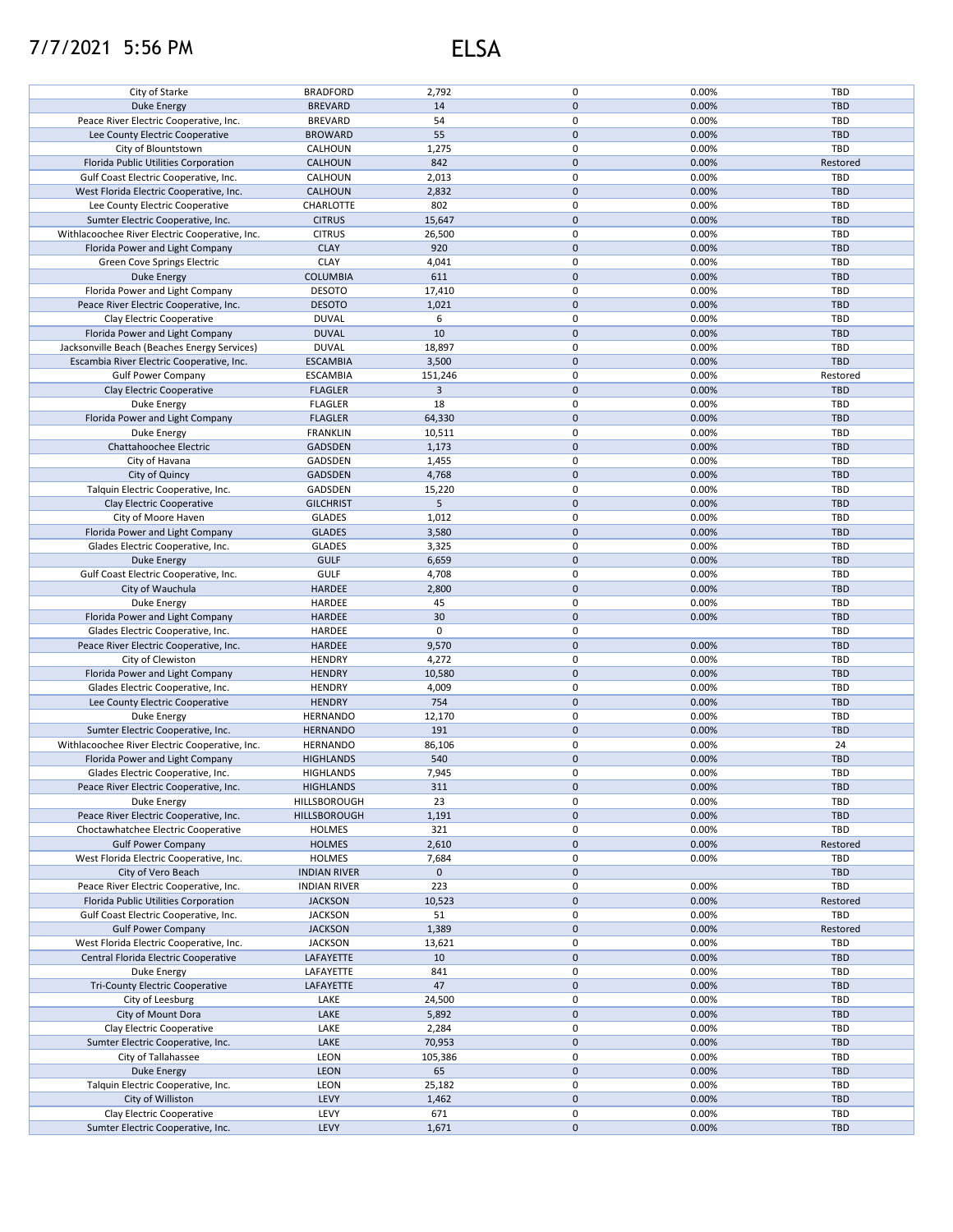## 7/7/2021 5:56 PM ELSA

|                                                |                     |             | 0            |       |            |
|------------------------------------------------|---------------------|-------------|--------------|-------|------------|
| City of Starke                                 | <b>BRADFORD</b>     | 2,792       |              | 0.00% | <b>TBD</b> |
| Duke Energy                                    | <b>BREVARD</b>      | 14          | $\pmb{0}$    | 0.00% | <b>TBD</b> |
| Peace River Electric Cooperative, Inc.         | <b>BREVARD</b>      | 54          | 0            | 0.00% | TBD        |
| Lee County Electric Cooperative                | <b>BROWARD</b>      | 55          | $\mathbf{0}$ | 0.00% | <b>TBD</b> |
|                                                |                     |             |              |       |            |
| City of Blountstown                            | CALHOUN             | 1,275       | 0            | 0.00% | TBD        |
| Florida Public Utilities Corporation           | <b>CALHOUN</b>      | 842         | $\pmb{0}$    | 0.00% | Restored   |
| Gulf Coast Electric Cooperative, Inc.          | CALHOUN             | 2,013       | 0            | 0.00% | TBD        |
|                                                |                     |             |              |       |            |
| West Florida Electric Cooperative, Inc.        | CALHOUN             | 2,832       | $\pmb{0}$    | 0.00% | <b>TBD</b> |
| Lee County Electric Cooperative                | CHARLOTTE           | 802         | 0            | 0.00% | TBD        |
| Sumter Electric Cooperative, Inc.              | <b>CITRUS</b>       | 15,647      | $\pmb{0}$    | 0.00% | <b>TBD</b> |
| Withlacoochee River Electric Cooperative, Inc. | <b>CITRUS</b>       | 26,500      | $\mathbf 0$  | 0.00% | TBD        |
|                                                |                     |             |              |       |            |
| Florida Power and Light Company                | <b>CLAY</b>         | 920         | $\pmb{0}$    | 0.00% | <b>TBD</b> |
| Green Cove Springs Electric                    | <b>CLAY</b>         | 4,041       | 0            | 0.00% | TBD        |
| Duke Energy                                    | <b>COLUMBIA</b>     | 611         | $\pmb{0}$    | 0.00% | <b>TBD</b> |
|                                                |                     |             |              |       |            |
| Florida Power and Light Company                | <b>DESOTO</b>       | 17,410      | 0            | 0.00% | TBD        |
| Peace River Electric Cooperative, Inc.         | <b>DESOTO</b>       | 1,021       | $\pmb{0}$    | 0.00% | <b>TBD</b> |
| Clay Electric Cooperative                      | <b>DUVAL</b>        | 6           | 0            | 0.00% | TBD        |
| Florida Power and Light Company                | <b>DUVAL</b>        | 10          | $\pmb{0}$    | 0.00% | <b>TBD</b> |
|                                                |                     |             |              |       |            |
| Jacksonville Beach (Beaches Energy Services)   | <b>DUVAL</b>        | 18,897      | 0            | 0.00% | TBD        |
| Escambia River Electric Cooperative, Inc.      | <b>ESCAMBIA</b>     | 3,500       | $\pmb{0}$    | 0.00% | <b>TBD</b> |
| <b>Gulf Power Company</b>                      | <b>ESCAMBIA</b>     | 151,246     | 0            | 0.00% | Restored   |
|                                                |                     |             |              |       |            |
| Clay Electric Cooperative                      | <b>FLAGLER</b>      | 3           | $\pmb{0}$    | 0.00% | <b>TBD</b> |
| Duke Energy                                    | <b>FLAGLER</b>      | 18          | 0            | 0.00% | TBD        |
| Florida Power and Light Company                | <b>FLAGLER</b>      | 64,330      | $\pmb{0}$    | 0.00% | <b>TBD</b> |
|                                                |                     |             |              |       |            |
| Duke Energy                                    | <b>FRANKLIN</b>     | 10,511      | 0            | 0.00% | <b>TBD</b> |
| Chattahoochee Electric                         | GADSDEN             | 1,173       | $\pmb{0}$    | 0.00% | <b>TBD</b> |
| City of Havana                                 | GADSDEN             | 1,455       | $\pmb{0}$    | 0.00% | <b>TBD</b> |
|                                                | GADSDEN             | 4,768       | $\pmb{0}$    | 0.00% | <b>TBD</b> |
| City of Quincy                                 |                     |             |              |       |            |
| Talquin Electric Cooperative, Inc.             | GADSDEN             | 15,220      | 0            | 0.00% | <b>TBD</b> |
| Clay Electric Cooperative                      | <b>GILCHRIST</b>    | 5           | $\pmb{0}$    | 0.00% | <b>TBD</b> |
| City of Moore Haven                            | <b>GLADES</b>       | 1,012       | 0            | 0.00% | TBD        |
|                                                |                     |             |              |       |            |
| Florida Power and Light Company                | <b>GLADES</b>       | 3,580       | $\pmb{0}$    | 0.00% | <b>TBD</b> |
| Glades Electric Cooperative, Inc.              | <b>GLADES</b>       | 3,325       | 0            | 0.00% | TBD        |
| <b>Duke Energy</b>                             | <b>GULF</b>         | 6,659       | $\pmb{0}$    | 0.00% | <b>TBD</b> |
|                                                |                     |             |              |       |            |
| Gulf Coast Electric Cooperative, Inc.          | <b>GULF</b>         | 4,708       | 0            | 0.00% | <b>TBD</b> |
| City of Wauchula                               | <b>HARDEE</b>       | 2,800       | $\pmb{0}$    | 0.00% | <b>TBD</b> |
| Duke Energy                                    | HARDEE              | 45          | 0            | 0.00% | TBD        |
| Florida Power and Light Company                | HARDEE              | 30          | $\pmb{0}$    | 0.00% | <b>TBD</b> |
|                                                |                     |             |              |       |            |
| Glades Electric Cooperative, Inc.              | HARDEE              | 0           | 0            |       | TBD        |
| Peace River Electric Cooperative, Inc.         | <b>HARDEE</b>       | 9,570       | $\pmb{0}$    | 0.00% | <b>TBD</b> |
| City of Clewiston                              | <b>HENDRY</b>       | 4,272       | 0            | 0.00% | TBD        |
|                                                |                     |             |              |       |            |
| Florida Power and Light Company                | <b>HENDRY</b>       | 10,580      | $\pmb{0}$    | 0.00% | <b>TBD</b> |
| Glades Electric Cooperative, Inc.              | <b>HENDRY</b>       | 4,009       | 0            | 0.00% | TBD        |
| Lee County Electric Cooperative                | <b>HENDRY</b>       | 754         | $\pmb{0}$    | 0.00% | <b>TBD</b> |
|                                                |                     |             | 0            | 0.00% | TBD        |
| Duke Energy                                    | <b>HERNANDO</b>     | 12,170      |              |       |            |
| Sumter Electric Cooperative, Inc.              | <b>HERNANDO</b>     | 191         | $\pmb{0}$    | 0.00% | <b>TBD</b> |
| Withlacoochee River Electric Cooperative, Inc. | <b>HERNANDO</b>     | 86,106      | $\pmb{0}$    | 0.00% | 24         |
| Florida Power and Light Company                | <b>HIGHLANDS</b>    | 540         | $\pmb{0}$    | 0.00% | <b>TBD</b> |
|                                                |                     |             |              |       |            |
| Glades Electric Cooperative, Inc.              | <b>HIGHLANDS</b>    | 7,945       | $\mathbf 0$  | 0.00% | TBD        |
| Peace River Electric Cooperative, Inc.         | <b>HIGHLANDS</b>    | 311         | $\mathbf 0$  | 0.00% | <b>TBD</b> |
| Duke Energy                                    | HILLSBOROUGH        | 23          | 0            | 0.00% | TBD        |
|                                                |                     |             |              |       |            |
| Peace River Electric Cooperative, Inc.         | HILLSBOROUGH        | 1,191       | $\pmb{0}$    | 0.00% | <b>TBD</b> |
| Choctawhatchee Electric Cooperative            | <b>HOLMES</b>       | 321         | 0            | 0.00% | <b>TBD</b> |
| <b>Gulf Power Company</b>                      | <b>HOLMES</b>       | 2,610       | $\mathbf 0$  | 0.00% | Restored   |
| West Florida Electric Cooperative, Inc.        | <b>HOLMES</b>       | 7,684       | 0            | 0.00% | <b>TBD</b> |
|                                                |                     |             |              |       |            |
| City of Vero Beach                             | <b>INDIAN RIVER</b> | $\mathbf 0$ | $\mathbf 0$  |       | <b>TBD</b> |
| Peace River Electric Cooperative, Inc.         | <b>INDIAN RIVER</b> | 223         | 0            | 0.00% | TBD        |
| Florida Public Utilities Corporation           | <b>JACKSON</b>      | 10,523      | $\pmb{0}$    | 0.00% | Restored   |
|                                                |                     |             |              |       |            |
| Gulf Coast Electric Cooperative, Inc.          | <b>JACKSON</b>      | 51          | 0            | 0.00% | TBD        |
| <b>Gulf Power Company</b>                      | <b>JACKSON</b>      | 1,389       | $\pmb{0}$    | 0.00% | Restored   |
| West Florida Electric Cooperative, Inc.        | <b>JACKSON</b>      | 13,621      | 0            | 0.00% | <b>TBD</b> |
|                                                |                     |             |              |       |            |
| Central Florida Electric Cooperative           | LAFAYETTE           | 10          | $\pmb{0}$    | 0.00% | <b>TBD</b> |
| Duke Energy                                    | LAFAYETTE           | 841         | 0            | 0.00% | TBD        |
| <b>Tri-County Electric Cooperative</b>         | LAFAYETTE           | 47          | $\pmb{0}$    | 0.00% | <b>TBD</b> |
| City of Leesburg                               | LAKE                | 24,500      | 0            | 0.00% | TBD        |
|                                                |                     |             |              |       |            |
| City of Mount Dora                             | LAKE                | 5,892       | $\pmb{0}$    | 0.00% | <b>TBD</b> |
| Clay Electric Cooperative                      | LAKE                | 2,284       | 0            | 0.00% | TBD        |
| Sumter Electric Cooperative, Inc.              | LAKE                | 70,953      | $\pmb{0}$    | 0.00% | <b>TBD</b> |
|                                                |                     |             |              |       |            |
| City of Tallahassee                            | LEON                | 105,386     | 0            | 0.00% | TBD        |
| <b>Duke Energy</b>                             | <b>LEON</b>         | 65          | $\pmb{0}$    | 0.00% | <b>TBD</b> |
| Talquin Electric Cooperative, Inc.             | LEON                | 25,182      | 0            | 0.00% | TBD        |
|                                                |                     |             | $\pmb{0}$    |       |            |
| City of Williston                              | LEVY                | 1,462       |              | 0.00% | <b>TBD</b> |
| Clay Electric Cooperative                      | LEVY                | 671         | 0            | 0.00% | TBD        |
| Sumter Electric Cooperative, Inc.              | LEVY                | 1,671       | $\mathbf 0$  | 0.00% | <b>TBD</b> |
|                                                |                     |             |              |       |            |